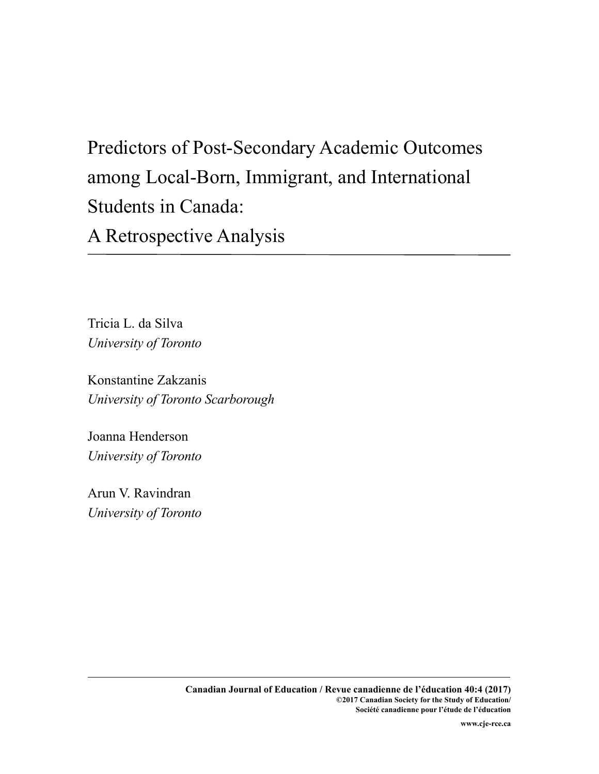# Predictors of Post-Secondary Academic Outcomes among Local-Born, Immigrant, and International Students in Canada:

A Retrospective Analysis

Tricia L. da Silva *University of Toronto*

Konstantine Zakzanis *University of Toronto Scarborough*

Joanna Henderson *University of Toronto*

Arun V. Ravindran *University of Toronto*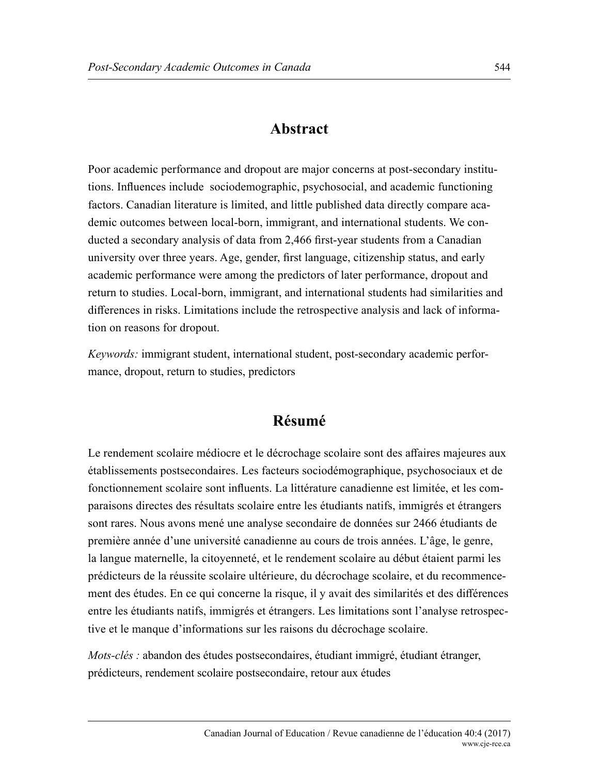## **Abstract**

Poor academic performance and dropout are major concerns at post-secondary institutions. Influences include sociodemographic, psychosocial, and academic functioning factors. Canadian literature is limited, and little published data directly compare academic outcomes between local-born, immigrant, and international students. We conducted a secondary analysis of data from 2,466 first-year students from a Canadian university over three years. Age, gender, first language, citizenship status, and early academic performance were among the predictors of later performance, dropout and return to studies. Local-born, immigrant, and international students had similarities and differences in risks. Limitations include the retrospective analysis and lack of information on reasons for dropout.

*Keywords:* immigrant student, international student, post-secondary academic performance, dropout, return to studies, predictors

## **Résumé**

Le rendement scolaire médiocre et le décrochage scolaire sont des affaires majeures aux établissements postsecondaires. Les facteurs sociodémographique, psychosociaux et de fonctionnement scolaire sont influents. La littérature canadienne est limitée, et les comparaisons directes des résultats scolaire entre les étudiants natifs, immigrés et étrangers sont rares. Nous avons mené une analyse secondaire de données sur 2466 étudiants de première année d'une université canadienne au cours de trois années. L'âge, le genre, la langue maternelle, la citoyenneté, et le rendement scolaire au début étaient parmi les prédicteurs de la réussite scolaire ultérieure, du décrochage scolaire, et du recommencement des études. En ce qui concerne la risque, il y avait des similarités et des différences entre les étudiants natifs, immigrés et étrangers. Les limitations sont l'analyse retrospective et le manque d'informations sur les raisons du décrochage scolaire.

*Mots-clés :* abandon des études postsecondaires, étudiant immigré, étudiant étranger, prédicteurs, rendement scolaire postsecondaire, retour aux études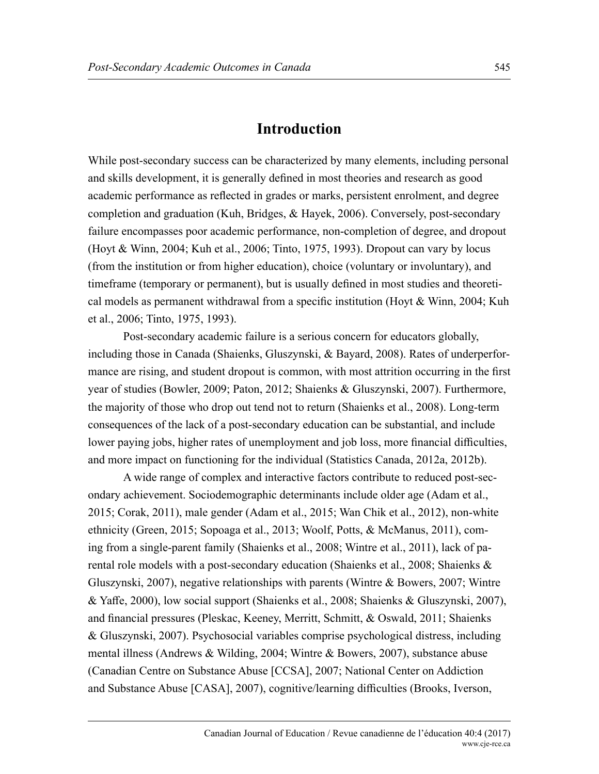## **Introduction**

While post-secondary success can be characterized by many elements, including personal and skills development, it is generally defined in most theories and research as good academic performance as reflected in grades or marks, persistent enrolment, and degree completion and graduation (Kuh, Bridges, & Hayek, 2006). Conversely, post-secondary failure encompasses poor academic performance, non-completion of degree, and dropout (Hoyt & Winn, 2004; Kuh et al., 2006; Tinto, 1975, 1993). Dropout can vary by locus (from the institution or from higher education), choice (voluntary or involuntary), and timeframe (temporary or permanent), but is usually defined in most studies and theoretical models as permanent withdrawal from a specific institution (Hoyt & Winn, 2004; Kuh et al., 2006; Tinto, 1975, 1993).

Post-secondary academic failure is a serious concern for educators globally, including those in Canada (Shaienks, Gluszynski, & Bayard, 2008). Rates of underperformance are rising, and student dropout is common, with most attrition occurring in the first year of studies (Bowler, 2009; Paton, 2012; Shaienks & Gluszynski, 2007). Furthermore, the majority of those who drop out tend not to return (Shaienks et al., 2008). Long-term consequences of the lack of a post-secondary education can be substantial, and include lower paying jobs, higher rates of unemployment and job loss, more financial difficulties, and more impact on functioning for the individual (Statistics Canada, 2012a, 2012b).

A wide range of complex and interactive factors contribute to reduced post-secondary achievement. Sociodemographic determinants include older age (Adam et al., 2015; Corak, 2011), male gender (Adam et al., 2015; Wan Chik et al., 2012), non-white ethnicity (Green, 2015; Sopoaga et al., 2013; Woolf, Potts, & McManus, 2011), coming from a single-parent family (Shaienks et al., 2008; Wintre et al., 2011), lack of parental role models with a post-secondary education (Shaienks et al., 2008; Shaienks & Gluszynski, 2007), negative relationships with parents (Wintre & Bowers, 2007; Wintre & Yaffe, 2000), low social support (Shaienks et al., 2008; Shaienks & Gluszynski, 2007), and financial pressures (Pleskac, Keeney, Merritt, Schmitt, & Oswald, 2011; Shaienks & Gluszynski, 2007). Psychosocial variables comprise psychological distress, including mental illness (Andrews & Wilding, 2004; Wintre & Bowers, 2007), substance abuse (Canadian Centre on Substance Abuse [CCSA], 2007; National Center on Addiction and Substance Abuse [CASA], 2007), cognitive/learning difficulties (Brooks, Iverson,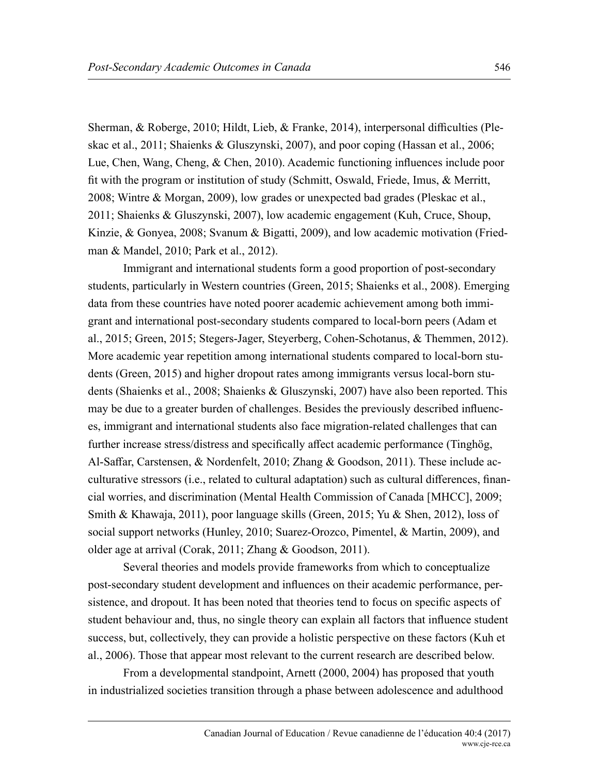Sherman, & Roberge, 2010; Hildt, Lieb, & Franke, 2014), interpersonal difficulties (Pleskac et al., 2011; Shaienks & Gluszynski, 2007), and poor coping (Hassan et al., 2006; Lue, Chen, Wang, Cheng, & Chen, 2010). Academic functioning influences include poor fit with the program or institution of study (Schmitt, Oswald, Friede, Imus, & Merritt, 2008; Wintre & Morgan, 2009), low grades or unexpected bad grades (Pleskac et al., 2011; Shaienks & Gluszynski, 2007), low academic engagement (Kuh, Cruce, Shoup, Kinzie, & Gonyea, 2008; Svanum & Bigatti, 2009), and low academic motivation (Friedman & Mandel, 2010; Park et al., 2012).

Immigrant and international students form a good proportion of post-secondary students, particularly in Western countries (Green, 2015; Shaienks et al., 2008). Emerging data from these countries have noted poorer academic achievement among both immigrant and international post-secondary students compared to local-born peers (Adam et al., 2015; Green, 2015; Stegers-Jager, Steyerberg, Cohen-Schotanus, & Themmen, 2012). More academic year repetition among international students compared to local-born students (Green, 2015) and higher dropout rates among immigrants versus local-born students (Shaienks et al., 2008; Shaienks & Gluszynski, 2007) have also been reported. This may be due to a greater burden of challenges. Besides the previously described influences, immigrant and international students also face migration-related challenges that can further increase stress/distress and specifically affect academic performance (Tinghög, Al-Saffar, Carstensen, & Nordenfelt, 2010; Zhang & Goodson, 2011). These include acculturative stressors (i.e., related to cultural adaptation) such as cultural differences, financial worries, and discrimination (Mental Health Commission of Canada [MHCC], 2009; Smith & Khawaja, 2011), poor language skills (Green, 2015; Yu & Shen, 2012), loss of social support networks (Hunley, 2010; Suarez-Orozco, Pimentel, & Martin, 2009), and older age at arrival (Corak, 2011; Zhang & Goodson, 2011).

Several theories and models provide frameworks from which to conceptualize post-secondary student development and influences on their academic performance, persistence, and dropout. It has been noted that theories tend to focus on specific aspects of student behaviour and, thus, no single theory can explain all factors that influence student success, but, collectively, they can provide a holistic perspective on these factors (Kuh et al., 2006). Those that appear most relevant to the current research are described below.

From a developmental standpoint, Arnett (2000, 2004) has proposed that youth in industrialized societies transition through a phase between adolescence and adulthood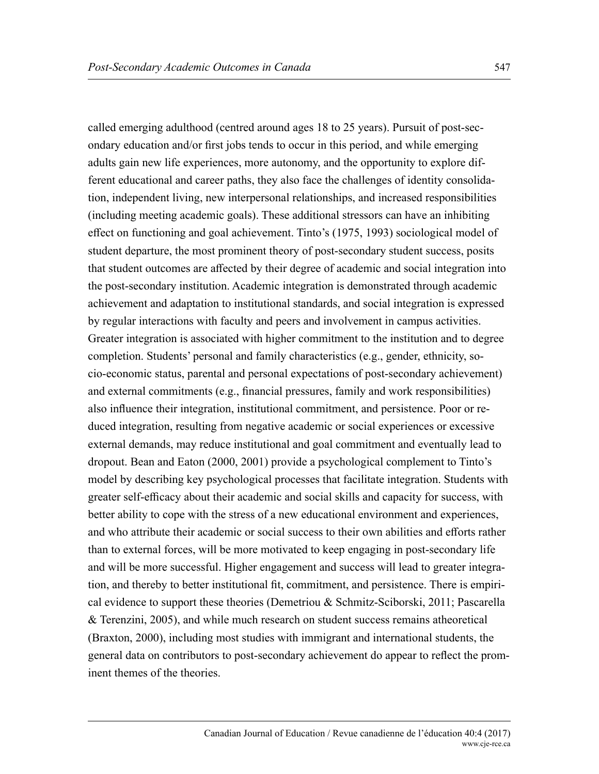called emerging adulthood (centred around ages 18 to 25 years). Pursuit of post-secondary education and/or first jobs tends to occur in this period, and while emerging adults gain new life experiences, more autonomy, and the opportunity to explore different educational and career paths, they also face the challenges of identity consolidation, independent living, new interpersonal relationships, and increased responsibilities (including meeting academic goals). These additional stressors can have an inhibiting effect on functioning and goal achievement. Tinto's (1975, 1993) sociological model of student departure, the most prominent theory of post-secondary student success, posits that student outcomes are affected by their degree of academic and social integration into the post-secondary institution. Academic integration is demonstrated through academic achievement and adaptation to institutional standards, and social integration is expressed by regular interactions with faculty and peers and involvement in campus activities. Greater integration is associated with higher commitment to the institution and to degree completion. Students' personal and family characteristics (e.g., gender, ethnicity, socio-economic status, parental and personal expectations of post-secondary achievement) and external commitments (e.g., financial pressures, family and work responsibilities) also influence their integration, institutional commitment, and persistence. Poor or reduced integration, resulting from negative academic or social experiences or excessive external demands, may reduce institutional and goal commitment and eventually lead to dropout. Bean and Eaton (2000, 2001) provide a psychological complement to Tinto's model by describing key psychological processes that facilitate integration. Students with greater self-efficacy about their academic and social skills and capacity for success, with better ability to cope with the stress of a new educational environment and experiences, and who attribute their academic or social success to their own abilities and efforts rather than to external forces, will be more motivated to keep engaging in post-secondary life and will be more successful. Higher engagement and success will lead to greater integration, and thereby to better institutional fit, commitment, and persistence. There is empirical evidence to support these theories (Demetriou & Schmitz-Sciborski, 2011; Pascarella & Terenzini, 2005), and while much research on student success remains atheoretical (Braxton, 2000), including most studies with immigrant and international students, the general data on contributors to post-secondary achievement do appear to reflect the prominent themes of the theories.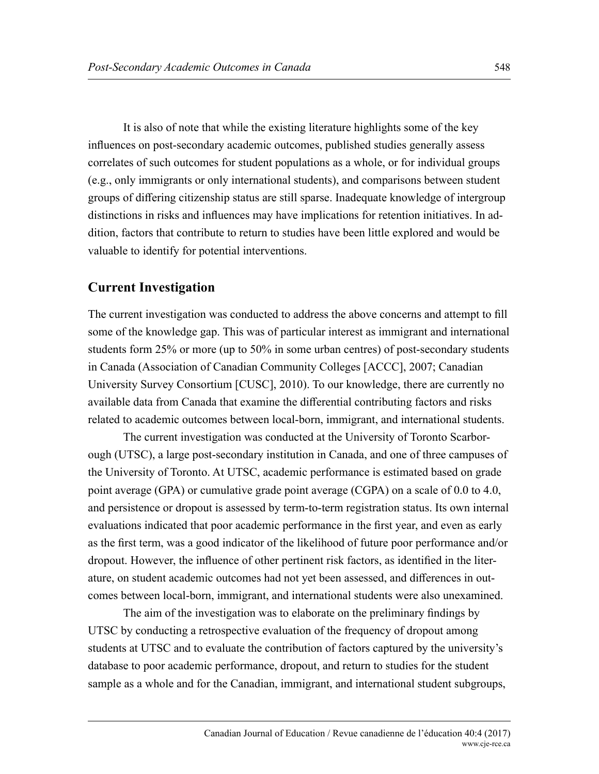It is also of note that while the existing literature highlights some of the key influences on post-secondary academic outcomes, published studies generally assess correlates of such outcomes for student populations as a whole, or for individual groups (e.g., only immigrants or only international students), and comparisons between student groups of differing citizenship status are still sparse. Inadequate knowledge of intergroup distinctions in risks and influences may have implications for retention initiatives. In addition, factors that contribute to return to studies have been little explored and would be valuable to identify for potential interventions.

#### **Current Investigation**

The current investigation was conducted to address the above concerns and attempt to fill some of the knowledge gap. This was of particular interest as immigrant and international students form 25% or more (up to 50% in some urban centres) of post-secondary students in Canada (Association of Canadian Community Colleges [ACCC], 2007; Canadian University Survey Consortium [CUSC], 2010). To our knowledge, there are currently no available data from Canada that examine the differential contributing factors and risks related to academic outcomes between local-born, immigrant, and international students.

The current investigation was conducted at the University of Toronto Scarborough (UTSC), a large post-secondary institution in Canada, and one of three campuses of the University of Toronto. At UTSC, academic performance is estimated based on grade point average (GPA) or cumulative grade point average (CGPA) on a scale of 0.0 to 4.0, and persistence or dropout is assessed by term-to-term registration status. Its own internal evaluations indicated that poor academic performance in the first year, and even as early as the first term, was a good indicator of the likelihood of future poor performance and/or dropout. However, the influence of other pertinent risk factors, as identified in the literature, on student academic outcomes had not yet been assessed, and differences in outcomes between local-born, immigrant, and international students were also unexamined.

The aim of the investigation was to elaborate on the preliminary findings by UTSC by conducting a retrospective evaluation of the frequency of dropout among students at UTSC and to evaluate the contribution of factors captured by the university's database to poor academic performance, dropout, and return to studies for the student sample as a whole and for the Canadian, immigrant, and international student subgroups,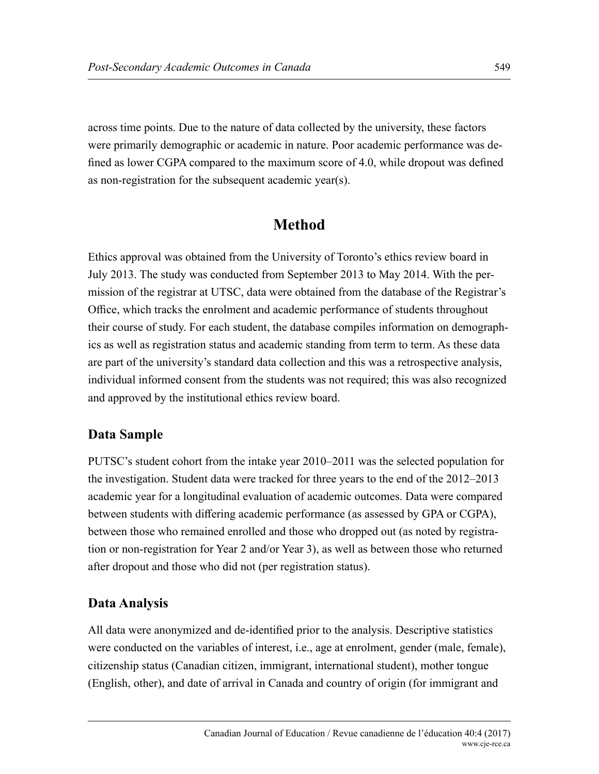across time points. Due to the nature of data collected by the university, these factors were primarily demographic or academic in nature. Poor academic performance was defined as lower CGPA compared to the maximum score of 4.0, while dropout was defined as non-registration for the subsequent academic year(s).

## **Method**

Ethics approval was obtained from the University of Toronto's ethics review board in July 2013. The study was conducted from September 2013 to May 2014. With the permission of the registrar at UTSC, data were obtained from the database of the Registrar's Office, which tracks the enrolment and academic performance of students throughout their course of study. For each student, the database compiles information on demographics as well as registration status and academic standing from term to term. As these data are part of the university's standard data collection and this was a retrospective analysis, individual informed consent from the students was not required; this was also recognized and approved by the institutional ethics review board.

## **Data Sample**

PUTSC's student cohort from the intake year 2010–2011 was the selected population for the investigation. Student data were tracked for three years to the end of the 2012–2013 academic year for a longitudinal evaluation of academic outcomes. Data were compared between students with differing academic performance (as assessed by GPA or CGPA), between those who remained enrolled and those who dropped out (as noted by registration or non-registration for Year 2 and/or Year 3), as well as between those who returned after dropout and those who did not (per registration status).

## **Data Analysis**

All data were anonymized and de-identified prior to the analysis. Descriptive statistics were conducted on the variables of interest, i.e., age at enrolment, gender (male, female), citizenship status (Canadian citizen, immigrant, international student), mother tongue (English, other), and date of arrival in Canada and country of origin (for immigrant and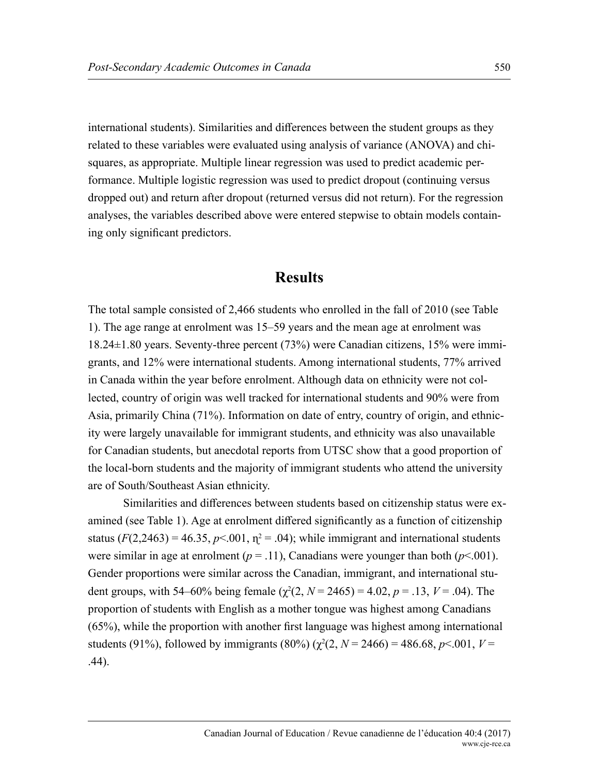international students). Similarities and differences between the student groups as they related to these variables were evaluated using analysis of variance (ANOVA) and chisquares, as appropriate. Multiple linear regression was used to predict academic performance. Multiple logistic regression was used to predict dropout (continuing versus dropped out) and return after dropout (returned versus did not return). For the regression analyses, the variables described above were entered stepwise to obtain models containing only significant predictors.

#### **Results**

The total sample consisted of 2,466 students who enrolled in the fall of 2010 (see Table 1). The age range at enrolment was 15–59 years and the mean age at enrolment was 18.24±1.80 years. Seventy-three percent (73%) were Canadian citizens, 15% were immigrants, and 12% were international students. Among international students, 77% arrived in Canada within the year before enrolment. Although data on ethnicity were not collected, country of origin was well tracked for international students and 90% were from Asia, primarily China (71%). Information on date of entry, country of origin, and ethnicity were largely unavailable for immigrant students, and ethnicity was also unavailable for Canadian students, but anecdotal reports from UTSC show that a good proportion of the local-born students and the majority of immigrant students who attend the university are of South/Southeast Asian ethnicity.

Similarities and differences between students based on citizenship status were examined (see Table 1). Age at enrolment differed significantly as a function of citizenship status  $(F(2, 2463) = 46.35, p < 0.01, \eta^2 = .04)$ ; while immigrant and international students were similar in age at enrolment ( $p = .11$ ), Canadians were younger than both ( $p \le .001$ ). Gender proportions were similar across the Canadian, immigrant, and international student groups, with 54–60% being female  $(\chi^2(2, N = 2465) = 4.02, p = .13, V = .04)$ . The proportion of students with English as a mother tongue was highest among Canadians (65%), while the proportion with another first language was highest among international students (91%), followed by immigrants (80%) ( $\chi^2(2, N = 2466) = 486.68$ ,  $p < .001$ ,  $V =$ .44).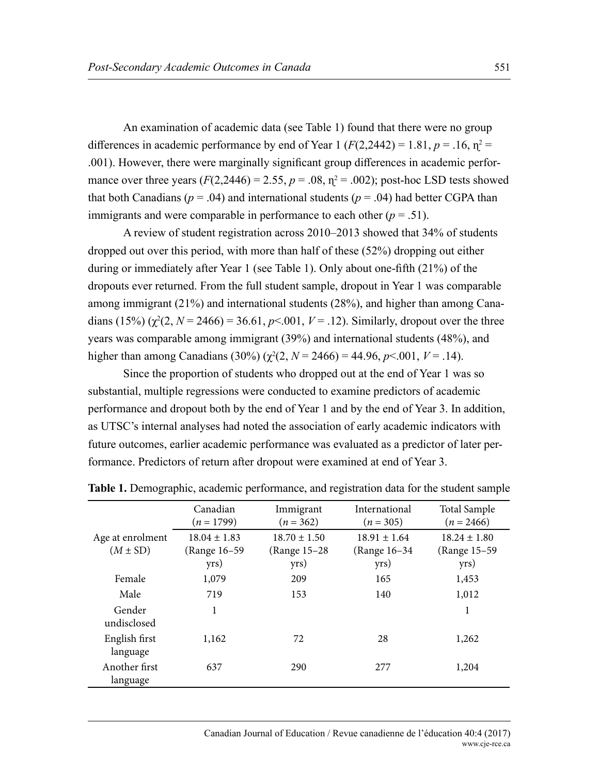An examination of academic data (see Table 1) found that there were no group differences in academic performance by end of Year 1 ( $F(2,2442) = 1.81$ ,  $p = .16$ ,  $p^2 =$ .001). However, there were marginally significant group differences in academic performance over three years  $(F(2, 2446) = 2.55, p = .08, \eta^2 = .002)$ ; post-hoc LSD tests showed that both Canadians ( $p = .04$ ) and international students ( $p = .04$ ) had better CGPA than immigrants and were comparable in performance to each other  $(p = .51)$ .

A review of student registration across 2010–2013 showed that 34% of students dropped out over this period, with more than half of these (52%) dropping out either during or immediately after Year 1 (see Table 1). Only about one-fifth (21%) of the dropouts ever returned. From the full student sample, dropout in Year 1 was comparable among immigrant (21%) and international students (28%), and higher than among Canadians  $(15%) (\chi^2(2, N = 2466) = 36.61, p < .001, V = .12)$ . Similarly, dropout over the three years was comparable among immigrant (39%) and international students (48%), and higher than among Canadians (30%) ( $\chi^2(2, N = 2466) = 44.96$ ,  $p < .001$ ,  $V = .14$ ).

Since the proportion of students who dropped out at the end of Year 1 was so substantial, multiple regressions were conducted to examine predictors of academic performance and dropout both by the end of Year 1 and by the end of Year 3. In addition, as UTSC's internal analyses had noted the association of early academic indicators with future outcomes, earlier academic performance was evaluated as a predictor of later performance. Predictors of return after dropout were examined at end of Year 3.

|                                  | Canadian<br>$(n = 1799)$                 | International<br>Immigrant<br>$(n = 362)$<br>$(n = 305)$ |                                          | <b>Total Sample</b><br>$(n = 2466)$       |  |
|----------------------------------|------------------------------------------|----------------------------------------------------------|------------------------------------------|-------------------------------------------|--|
| Age at enrolment<br>$(M \pm SD)$ | $18.04 \pm 1.83$<br>(Range 16-59<br>yrs) | $18.70 \pm 1.50$<br>(Range 15-28)<br>yrs)                | $18.91 \pm 1.64$<br>(Range 16-34<br>yrs) | $18.24 \pm 1.80$<br>(Range 15–59)<br>yrs) |  |
| Female                           | 1,079                                    | 209                                                      | 165                                      | 1,453                                     |  |
| Male                             | 719                                      | 153                                                      | 140                                      | 1,012                                     |  |
| Gender<br>undisclosed            | 1                                        |                                                          |                                          | 1                                         |  |
| English first<br>language        | 1,162                                    | 72                                                       | 28                                       | 1,262                                     |  |
| Another first<br>language        | 637                                      | 290                                                      | 277                                      | 1,204                                     |  |

**Table 1.** Demographic, academic performance, and registration data for the student sample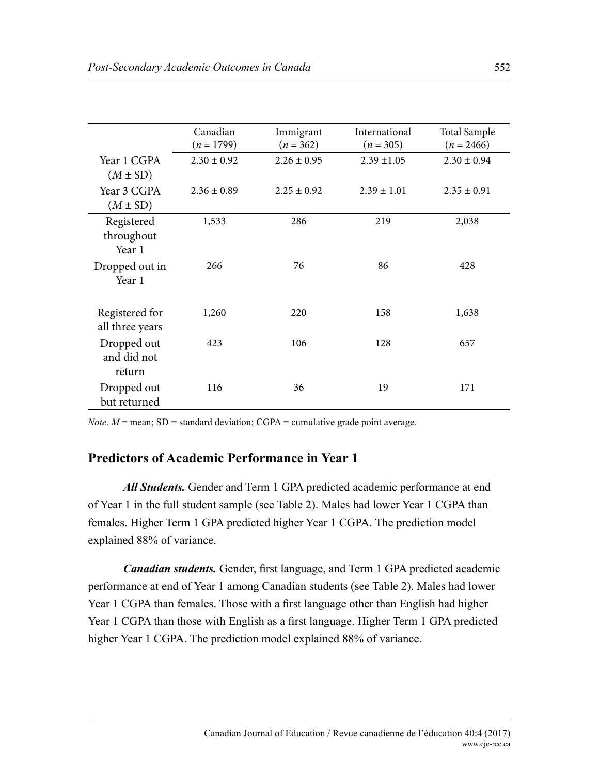|                                             | Canadian<br>$(n = 1799)$ | Immigrant<br>$(n = 362)$ | International<br>$(n = 305)$ | <b>Total Sample</b><br>$(n = 2466)$ |
|---------------------------------------------|--------------------------|--------------------------|------------------------------|-------------------------------------|
| Year 1 CGPA                                 | $2.30 \pm 0.92$          | $2.26 \pm 0.95$          | $2.39 \pm 1.05$              | $2.30 \pm 0.94$                     |
| $(M \pm SD)$<br>Year 3 CGPA<br>$(M \pm SD)$ | $2.36 \pm 0.89$          | $2.25 \pm 0.92$          | $2.39 \pm 1.01$              | $2.35 \pm 0.91$                     |
| Registered<br>throughout<br>Year 1          | 1,533                    | 286                      | 219                          | 2,038                               |
| Dropped out in<br>Year 1                    | 266                      | 76                       | 86                           | 428                                 |
| Registered for<br>all three years           | 1,260                    | 220                      | 158                          | 1,638                               |
| Dropped out<br>and did not<br>return        | 423                      | 106                      | 128                          | 657                                 |
| Dropped out<br>but returned                 | 116                      | 36                       | 19                           | 171                                 |

*Note*.  $M$  = mean; SD = standard deviation; CGPA = cumulative grade point average.

#### **Predictors of Academic Performance in Year 1**

*All Students.* Gender and Term 1 GPA predicted academic performance at end of Year 1 in the full student sample (see Table 2). Males had lower Year 1 CGPA than females. Higher Term 1 GPA predicted higher Year 1 CGPA. The prediction model explained 88% of variance.

*Canadian students.* Gender, first language, and Term 1 GPA predicted academic performance at end of Year 1 among Canadian students (see Table 2). Males had lower Year 1 CGPA than females. Those with a first language other than English had higher Year 1 CGPA than those with English as a first language. Higher Term 1 GPA predicted higher Year 1 CGPA. The prediction model explained 88% of variance.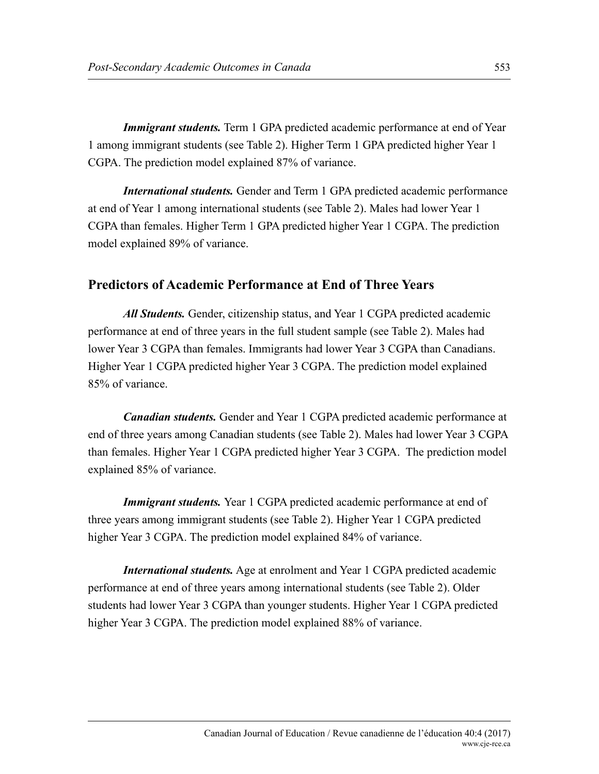*Immigrant students.* Term 1 GPA predicted academic performance at end of Year 1 among immigrant students (see Table 2). Higher Term 1 GPA predicted higher Year 1 CGPA. The prediction model explained 87% of variance.

*International students.* Gender and Term 1 GPA predicted academic performance at end of Year 1 among international students (see Table 2). Males had lower Year 1 CGPA than females. Higher Term 1 GPA predicted higher Year 1 CGPA. The prediction model explained 89% of variance.

#### **Predictors of Academic Performance at End of Three Years**

*All Students.* Gender, citizenship status, and Year 1 CGPA predicted academic performance at end of three years in the full student sample (see Table 2). Males had lower Year 3 CGPA than females. Immigrants had lower Year 3 CGPA than Canadians. Higher Year 1 CGPA predicted higher Year 3 CGPA. The prediction model explained 85% of variance.

*Canadian students.* Gender and Year 1 CGPA predicted academic performance at end of three years among Canadian students (see Table 2). Males had lower Year 3 CGPA than females. Higher Year 1 CGPA predicted higher Year 3 CGPA. The prediction model explained 85% of variance.

*Immigrant students.* Year 1 CGPA predicted academic performance at end of three years among immigrant students (see Table 2). Higher Year 1 CGPA predicted higher Year 3 CGPA. The prediction model explained 84% of variance.

*International students.* Age at enrolment and Year 1 CGPA predicted academic performance at end of three years among international students (see Table 2). Older students had lower Year 3 CGPA than younger students. Higher Year 1 CGPA predicted higher Year 3 CGPA. The prediction model explained 88% of variance.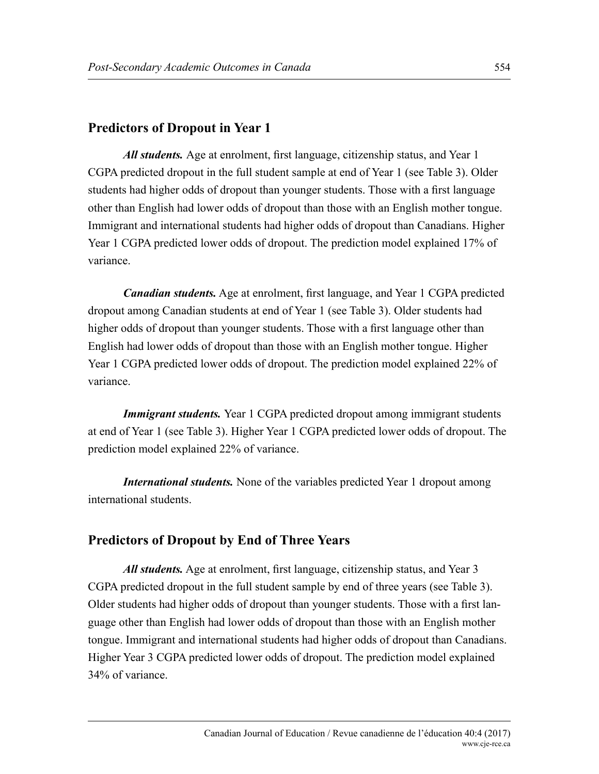## **Predictors of Dropout in Year 1**

*All students.* Age at enrolment, first language, citizenship status, and Year 1 CGPA predicted dropout in the full student sample at end of Year 1 (see Table 3). Older students had higher odds of dropout than younger students. Those with a first language other than English had lower odds of dropout than those with an English mother tongue. Immigrant and international students had higher odds of dropout than Canadians. Higher Year 1 CGPA predicted lower odds of dropout. The prediction model explained 17% of variance.

*Canadian students.* Age at enrolment, first language, and Year 1 CGPA predicted dropout among Canadian students at end of Year 1 (see Table 3). Older students had higher odds of dropout than younger students. Those with a first language other than English had lower odds of dropout than those with an English mother tongue. Higher Year 1 CGPA predicted lower odds of dropout. The prediction model explained 22% of variance.

**Immigrant students.** Year 1 CGPA predicted dropout among immigrant students at end of Year 1 (see Table 3). Higher Year 1 CGPA predicted lower odds of dropout. The prediction model explained 22% of variance.

*International students.* None of the variables predicted Year 1 dropout among international students.

## **Predictors of Dropout by End of Three Years**

*All students.* Age at enrolment, first language, citizenship status, and Year 3 CGPA predicted dropout in the full student sample by end of three years (see Table 3). Older students had higher odds of dropout than younger students. Those with a first language other than English had lower odds of dropout than those with an English mother tongue. Immigrant and international students had higher odds of dropout than Canadians. Higher Year 3 CGPA predicted lower odds of dropout. The prediction model explained 34% of variance.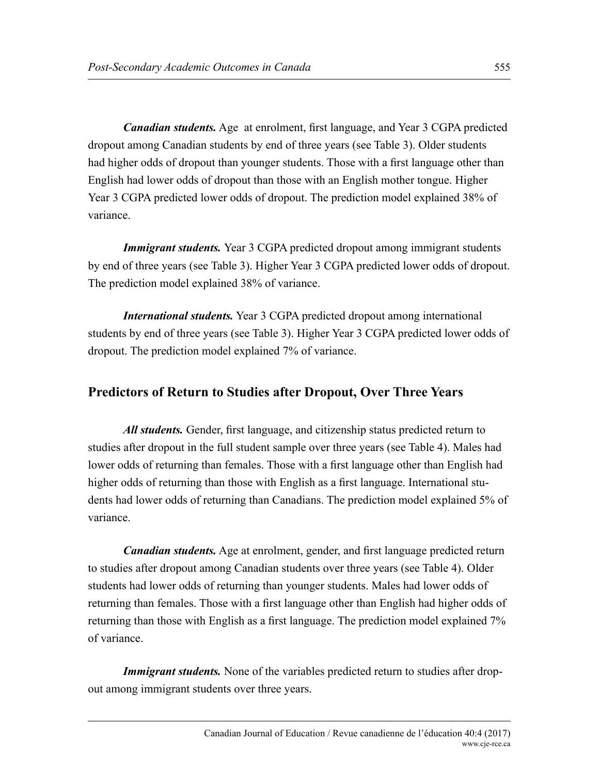*Canadian students.* Age at enrolment, first language, and Year 3 CGPA predicted dropout among Canadian students by end of three years (see Table 3). Older students had higher odds of dropout than younger students. Those with a first language other than English had lower odds of dropout than those with an English mother tongue. Higher Year 3 CGPA predicted lower odds of dropout. The prediction model explained 38% of variance.

*Immigrant students.* Year 3 CGPA predicted dropout among immigrant students by end of three years (see Table 3). Higher Year 3 CGPA predicted lower odds of dropout. The prediction model explained 38% of variance.

*International students.* Year 3 CGPA predicted dropout among international students by end of three years (see Table 3). Higher Year 3 CGPA predicted lower odds of dropout. The prediction model explained 7% of variance.

#### **Predictors of Return to Studies after Dropout, Over Three Years**

*All students.* Gender, first language, and citizenship status predicted return to studies after dropout in the full student sample over three years (see Table 4). Males had lower odds of returning than females. Those with a first language other than English had higher odds of returning than those with English as a first language. International students had lower odds of returning than Canadians. The prediction model explained 5% of variance.

*Canadian students.* Age at enrolment, gender, and first language predicted return to studies after dropout among Canadian students over three years (see Table 4). Older students had lower odds of returning than younger students. Males had lower odds of returning than females. Those with a first language other than English had higher odds of returning than those with English as a first language. The prediction model explained 7% of variance.

*Immigrant students.* None of the variables predicted return to studies after dropout among immigrant students over three years.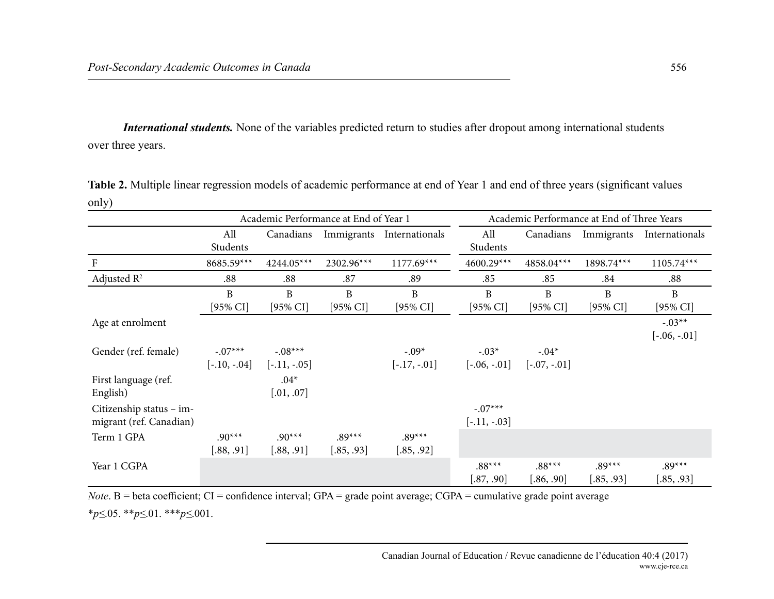*International students.* None of the variables predicted return to studies after dropout among international students over three years.

| $--J$                    |                                       |                |                     |                           |                                            |                     |            |                |
|--------------------------|---------------------------------------|----------------|---------------------|---------------------------|--------------------------------------------|---------------------|------------|----------------|
|                          | Academic Performance at End of Year 1 |                |                     |                           | Academic Performance at End of Three Years |                     |            |                |
|                          | All                                   | Canadians      |                     | Immigrants Internationals | All                                        | Canadians           | Immigrants | Internationals |
|                          | Students                              |                |                     |                           | Students                                   |                     |            |                |
| ${\bf F}$                | 8685.59***                            | 4244.05***     | 2302.96***          | $1177.69***$              | 4600.29***                                 | 4858.04***          | 1898.74*** | 1105.74***     |
| Adjusted $R^2$           | .88                                   | .88            | .87                 | .89                       | .85                                        | .85                 | .84        | .88            |
|                          | $\mathbf{B}$                          | B              | $\mathbf{B}$        | B                         | $\mathbf B$                                | $\mathbf{B}$        | B          | B              |
|                          | [95% CI]                              | [95% CI]       | $[95\% \text{ CI}]$ | $[95\%$ CI]               | $[95\%$ CI]                                | $[95\% \text{ CI}]$ | [95% CI]   | [95% CI]       |
| Age at enrolment         |                                       |                |                     |                           |                                            |                     |            | $-.03**$       |
|                          |                                       |                |                     |                           |                                            |                     |            | $[-.06, -.01]$ |
| Gender (ref. female)     | $-.07***$                             | $-.08***$      |                     | $-.09*$                   | $-.03*$                                    | $-.04*$             |            |                |
|                          | $[-.10, -.04]$                        | $[-.11, -.05]$ |                     | $[-.17, -.01]$            | $[-.06, -.01]$                             | $[-.07, -.01]$      |            |                |
| First language (ref.     |                                       | $.04*$         |                     |                           |                                            |                     |            |                |
| English)                 |                                       | [.01, .07]     |                     |                           |                                            |                     |            |                |
| Citizenship status - im- |                                       |                |                     |                           | $-.07***$                                  |                     |            |                |
| migrant (ref. Canadian)  |                                       |                |                     |                           | $[-.11, -.03]$                             |                     |            |                |
| Term 1 GPA               | $.90***$                              | $.90***$       | $.89***$            | $.89***$                  |                                            |                     |            |                |
|                          | [.88, .91]                            | [.88, .91]     | [.85, .93]          | [.85, .92]                |                                            |                     |            |                |
| Year 1 CGPA              |                                       |                |                     |                           | $.88***$                                   | $.88***$            | $.89***$   | $.89***$       |
|                          |                                       |                |                     |                           | [.87, .90]                                 | [.86, .90]          | [.85, .93] | [.85, .93]     |

**Table 2.** Multiple linear regression models of academic performance at end of Year 1 and end of three years (significant values only)

*Note*. B = beta coefficient; CI = confidence interval; GPA = grade point average; CGPA = cumulative grade point average \**p≤*.05. \*\**p≤*.01. \*\*\**p≤*.001.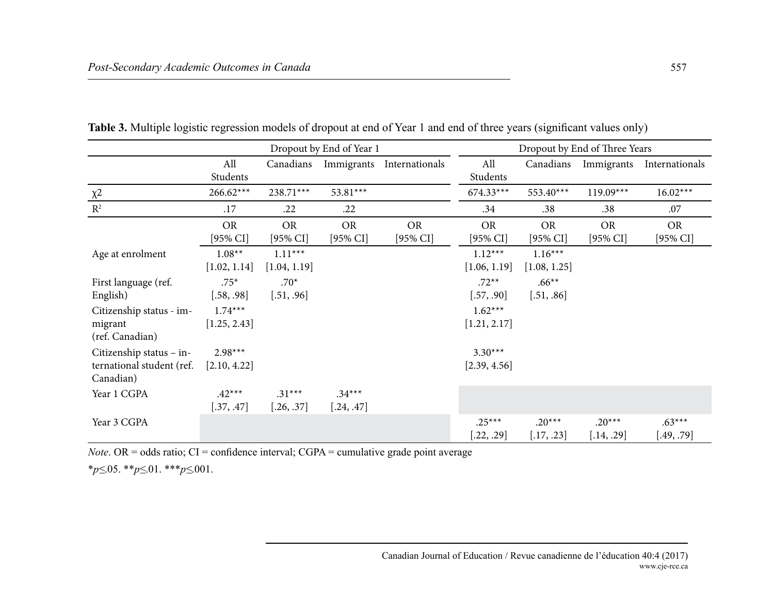|                                                                    | Dropout by End of Year 1  |                                  |                          |                          | Dropout by End of Three Years |                           |                          |                                  |
|--------------------------------------------------------------------|---------------------------|----------------------------------|--------------------------|--------------------------|-------------------------------|---------------------------|--------------------------|----------------------------------|
|                                                                    | All<br>Students           | Canadians                        | Immigrants               | Internationals           | All<br>Students               | Canadians                 | Immigrants               | Internationals                   |
| $\chi^2$                                                           | $266.62***$               | 238.71***                        | 53.81***                 |                          | $674.33***$                   | 553.40***                 | $119.09***$              | $16.02***$                       |
| $R^2$                                                              | .17                       | .22                              | .22                      |                          | .34                           | .38                       | .38                      | .07                              |
|                                                                    | <b>OR</b><br>[95% CI]     | <b>OR</b><br>$[95\% \text{ CI}]$ | <b>OR</b><br>$[95\%$ CI] | <b>OR</b><br>$[95\%$ CI] | <b>OR</b><br>[95% CI]         | <b>OR</b><br>[95% CI]     | <b>OR</b><br>$[95\%$ CI] | <b>OR</b><br>$[95\% \text{ CI}]$ |
| Age at enrolment                                                   | $1.08**$<br>[1.02, 1.14]  | $1.11***$<br>[1.04, 1.19]        |                          |                          | $1.12***$<br>[1.06, 1.19]     | $1.16***$<br>[1.08, 1.25] |                          |                                  |
| First language (ref.<br>English)                                   | $.75*$<br>[.58, .98]      | $.70*$<br>[.51, .96]             |                          |                          | $.72**$<br>[.57, .90]         | $.66**$<br>[.51, .86]     |                          |                                  |
| Citizenship status - im-<br>migrant<br>(ref. Canadian)             | $1.74***$<br>[1.25, 2.43] |                                  |                          |                          | $1.62***$<br>[1.21, 2.17]     |                           |                          |                                  |
| Citizenship status - in-<br>ternational student (ref.<br>Canadian) | $2.98***$<br>[2.10, 4.22] |                                  |                          |                          | $3.30***$<br>[2.39, 4.56]     |                           |                          |                                  |
| Year 1 CGPA                                                        | $.42***$<br>[.37, .47]    | $.31***$<br>[.26, .37]           | $.34***$<br>[.24, .47]   |                          |                               |                           |                          |                                  |
| Year 3 CGPA                                                        |                           |                                  |                          |                          | $.25***$<br>[.22, .29]        | $.20***$<br>[.17, .23]    | $.20***$<br>[.14, .29]   | $.63***$<br>.49, .79]            |

**Table 3.** Multiple logistic regression models of dropout at end of Year 1 and end of three years (significant values only)

*Note*. OR = odds ratio; CI = confidence interval; CGPA = cumulative grade point average

\**p≤*.05. \*\**p≤*.01. \*\*\**p≤*.001.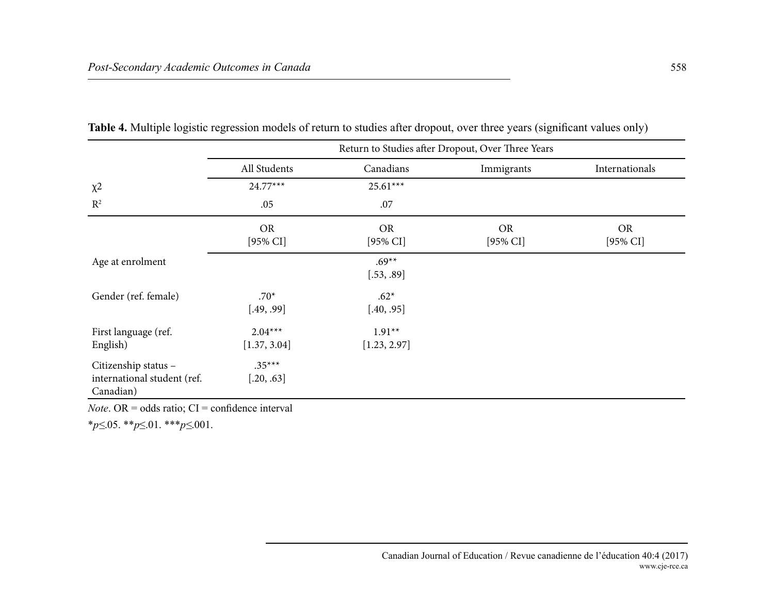|                                                                  | Return to Studies after Dropout, Over Three Years |                          |                          |                          |  |  |  |  |
|------------------------------------------------------------------|---------------------------------------------------|--------------------------|--------------------------|--------------------------|--|--|--|--|
|                                                                  | All Students                                      | Canadians                | Immigrants               | Internationals           |  |  |  |  |
| $\chi^2$                                                         | $24.77***$                                        | $25.61***$               |                          |                          |  |  |  |  |
| $R^2$                                                            | .05                                               | .07                      |                          |                          |  |  |  |  |
|                                                                  | <b>OR</b><br>$[95\%$ CI]                          | <b>OR</b><br>$[95\%$ CI] | <b>OR</b><br>$[95\%$ CI] | <b>OR</b><br>$[95\%$ CI] |  |  |  |  |
| Age at enrolment                                                 |                                                   | $.69**$<br>[.53, .89]    |                          |                          |  |  |  |  |
| Gender (ref. female)                                             | $.70*$<br>[.49, .99]                              | $.62*$<br>[.40, .95]     |                          |                          |  |  |  |  |
| First language (ref.<br>English)                                 | $2.04***$<br>[1.37, 3.04]                         | $1.91**$<br>[1.23, 2.97] |                          |                          |  |  |  |  |
| Citizenship status -<br>international student (ref.<br>Canadian) | $.35***$<br>[.20, .63]                            |                          |                          |                          |  |  |  |  |

**Table 4.** Multiple logistic regression models of return to studies after dropout, over three years (significant values only)

*Note*. OR = odds ratio; CI = confidence interval

\**p≤*.05. \*\**p*≤.01. \*\*\**p≤*.001.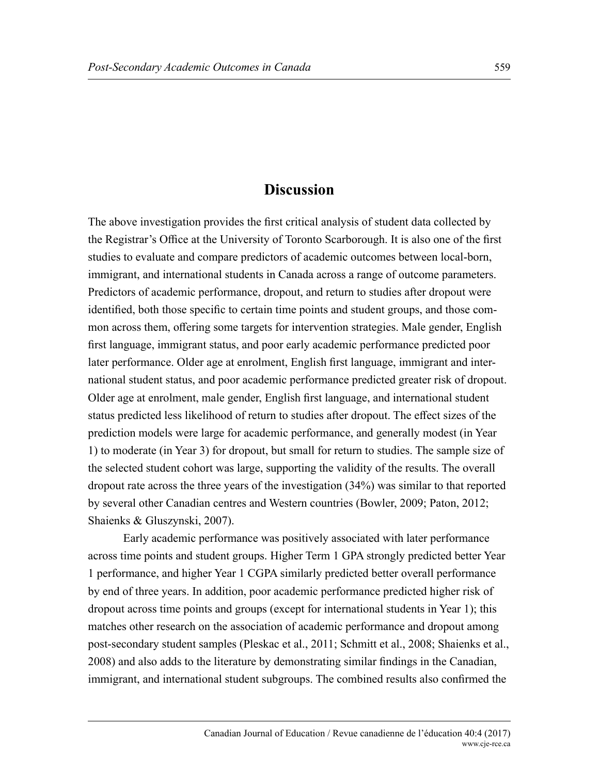## **Discussion**

The above investigation provides the first critical analysis of student data collected by the Registrar's Office at the University of Toronto Scarborough. It is also one of the first studies to evaluate and compare predictors of academic outcomes between local-born, immigrant, and international students in Canada across a range of outcome parameters. Predictors of academic performance, dropout, and return to studies after dropout were identified, both those specific to certain time points and student groups, and those common across them, offering some targets for intervention strategies. Male gender, English first language, immigrant status, and poor early academic performance predicted poor later performance. Older age at enrolment, English first language, immigrant and international student status, and poor academic performance predicted greater risk of dropout. Older age at enrolment, male gender, English first language, and international student status predicted less likelihood of return to studies after dropout. The effect sizes of the prediction models were large for academic performance, and generally modest (in Year 1) to moderate (in Year 3) for dropout, but small for return to studies. The sample size of the selected student cohort was large, supporting the validity of the results. The overall dropout rate across the three years of the investigation (34%) was similar to that reported by several other Canadian centres and Western countries (Bowler, 2009; Paton, 2012; Shaienks & Gluszynski, 2007).

Early academic performance was positively associated with later performance across time points and student groups. Higher Term 1 GPA strongly predicted better Year 1 performance, and higher Year 1 CGPA similarly predicted better overall performance by end of three years. In addition, poor academic performance predicted higher risk of dropout across time points and groups (except for international students in Year 1); this matches other research on the association of academic performance and dropout among post-secondary student samples (Pleskac et al., 2011; Schmitt et al., 2008; Shaienks et al., 2008) and also adds to the literature by demonstrating similar findings in the Canadian, immigrant, and international student subgroups. The combined results also confirmed the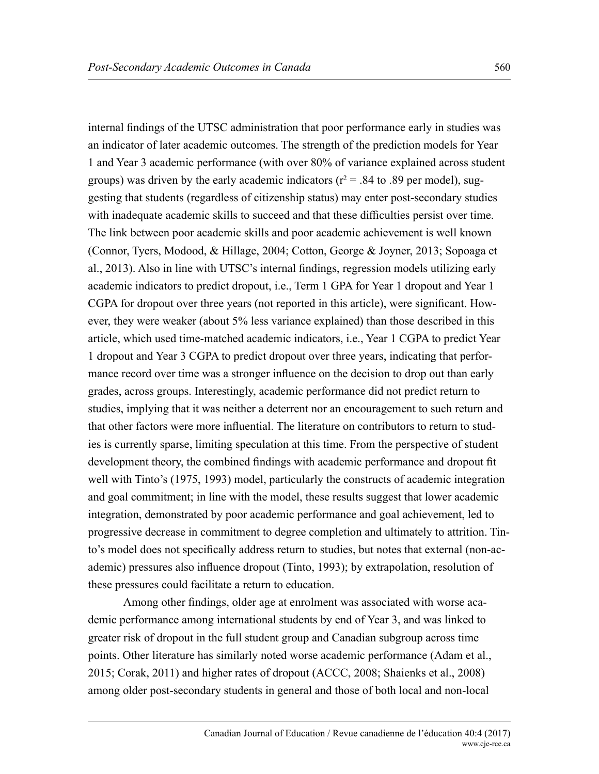internal findings of the UTSC administration that poor performance early in studies was an indicator of later academic outcomes. The strength of the prediction models for Year 1 and Year 3 academic performance (with over 80% of variance explained across student groups) was driven by the early academic indicators ( $r^2 = .84$  to .89 per model), suggesting that students (regardless of citizenship status) may enter post-secondary studies with inadequate academic skills to succeed and that these difficulties persist over time. The link between poor academic skills and poor academic achievement is well known (Connor, Tyers, Modood, & Hillage, 2004; Cotton, George & Joyner, 2013; Sopoaga et al., 2013). Also in line with UTSC's internal findings, regression models utilizing early academic indicators to predict dropout, i.e., Term 1 GPA for Year 1 dropout and Year 1 CGPA for dropout over three years (not reported in this article), were significant. However, they were weaker (about 5% less variance explained) than those described in this article, which used time-matched academic indicators, i.e., Year 1 CGPA to predict Year 1 dropout and Year 3 CGPA to predict dropout over three years, indicating that performance record over time was a stronger influence on the decision to drop out than early grades, across groups. Interestingly, academic performance did not predict return to studies, implying that it was neither a deterrent nor an encouragement to such return and that other factors were more influential. The literature on contributors to return to studies is currently sparse, limiting speculation at this time. From the perspective of student development theory, the combined findings with academic performance and dropout fit well with Tinto's (1975, 1993) model, particularly the constructs of academic integration and goal commitment; in line with the model, these results suggest that lower academic integration, demonstrated by poor academic performance and goal achievement, led to progressive decrease in commitment to degree completion and ultimately to attrition. Tinto's model does not specifically address return to studies, but notes that external (non-academic) pressures also influence dropout (Tinto, 1993); by extrapolation, resolution of these pressures could facilitate a return to education.

Among other findings, older age at enrolment was associated with worse academic performance among international students by end of Year 3, and was linked to greater risk of dropout in the full student group and Canadian subgroup across time points. Other literature has similarly noted worse academic performance (Adam et al., 2015; Corak, 2011) and higher rates of dropout (ACCC, 2008; Shaienks et al., 2008) among older post-secondary students in general and those of both local and non-local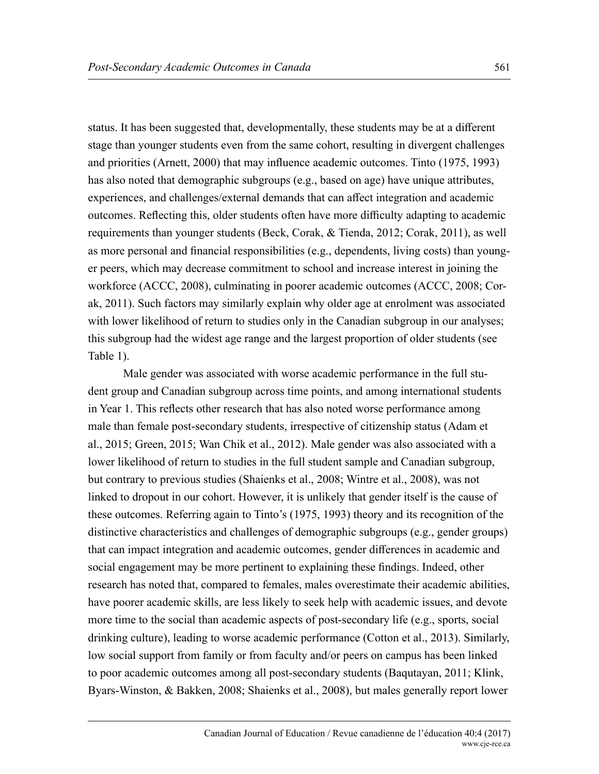status. It has been suggested that, developmentally, these students may be at a different stage than younger students even from the same cohort, resulting in divergent challenges and priorities (Arnett, 2000) that may influence academic outcomes. Tinto (1975, 1993) has also noted that demographic subgroups (e.g., based on age) have unique attributes, experiences, and challenges/external demands that can affect integration and academic outcomes. Reflecting this, older students often have more difficulty adapting to academic requirements than younger students (Beck, Corak, & Tienda, 2012; Corak, 2011), as well as more personal and financial responsibilities (e.g., dependents, living costs) than younger peers, which may decrease commitment to school and increase interest in joining the workforce (ACCC, 2008), culminating in poorer academic outcomes (ACCC, 2008; Corak, 2011). Such factors may similarly explain why older age at enrolment was associated with lower likelihood of return to studies only in the Canadian subgroup in our analyses; this subgroup had the widest age range and the largest proportion of older students (see Table 1).

Male gender was associated with worse academic performance in the full student group and Canadian subgroup across time points, and among international students in Year 1. This reflects other research that has also noted worse performance among male than female post-secondary students, irrespective of citizenship status (Adam et al., 2015; Green, 2015; Wan Chik et al., 2012). Male gender was also associated with a lower likelihood of return to studies in the full student sample and Canadian subgroup, but contrary to previous studies (Shaienks et al., 2008; Wintre et al., 2008), was not linked to dropout in our cohort. However, it is unlikely that gender itself is the cause of these outcomes. Referring again to Tinto's (1975, 1993) theory and its recognition of the distinctive characteristics and challenges of demographic subgroups (e.g., gender groups) that can impact integration and academic outcomes, gender differences in academic and social engagement may be more pertinent to explaining these findings. Indeed, other research has noted that, compared to females, males overestimate their academic abilities, have poorer academic skills, are less likely to seek help with academic issues, and devote more time to the social than academic aspects of post-secondary life (e.g., sports, social drinking culture), leading to worse academic performance (Cotton et al., 2013). Similarly, low social support from family or from faculty and/or peers on campus has been linked to poor academic outcomes among all post-secondary students (Baqutayan, 2011; Klink, Byars-Winston, & Bakken, 2008; Shaienks et al., 2008), but males generally report lower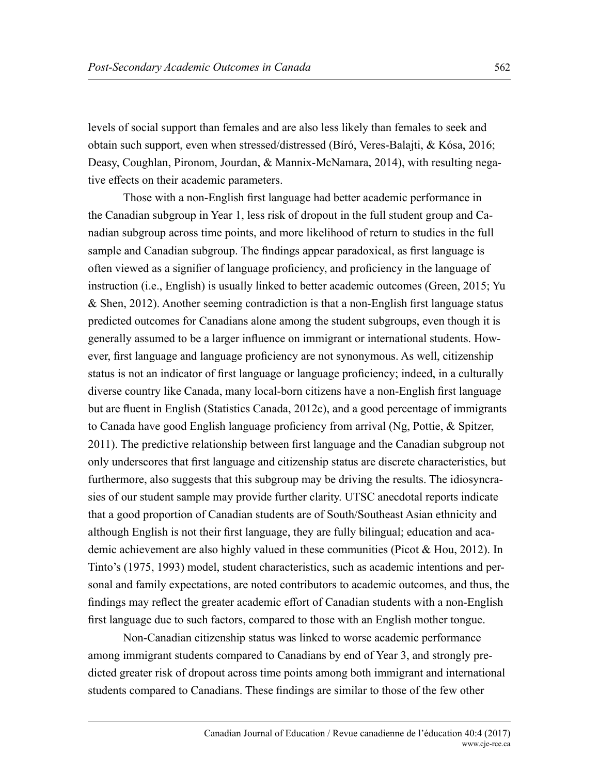levels of social support than females and are also less likely than females to seek and obtain such support, even when stressed/distressed (Bíró, Veres-Balajti, & Kósa, 2016; Deasy, Coughlan, Pironom, Jourdan, & Mannix-McNamara, 2014), with resulting negative effects on their academic parameters.

Those with a non-English first language had better academic performance in the Canadian subgroup in Year 1, less risk of dropout in the full student group and Canadian subgroup across time points, and more likelihood of return to studies in the full sample and Canadian subgroup. The findings appear paradoxical, as first language is often viewed as a signifier of language proficiency, and proficiency in the language of instruction (i.e., English) is usually linked to better academic outcomes (Green, 2015; Yu & Shen, 2012). Another seeming contradiction is that a non-English first language status predicted outcomes for Canadians alone among the student subgroups, even though it is generally assumed to be a larger influence on immigrant or international students. However, first language and language proficiency are not synonymous. As well, citizenship status is not an indicator of first language or language proficiency; indeed, in a culturally diverse country like Canada, many local-born citizens have a non-English first language but are fluent in English (Statistics Canada, 2012c), and a good percentage of immigrants to Canada have good English language proficiency from arrival (Ng, Pottie, & Spitzer, 2011). The predictive relationship between first language and the Canadian subgroup not only underscores that first language and citizenship status are discrete characteristics, but furthermore, also suggests that this subgroup may be driving the results. The idiosyncrasies of our student sample may provide further clarity. UTSC anecdotal reports indicate that a good proportion of Canadian students are of South/Southeast Asian ethnicity and although English is not their first language, they are fully bilingual; education and academic achievement are also highly valued in these communities (Picot & Hou, 2012). In Tinto's (1975, 1993) model, student characteristics, such as academic intentions and personal and family expectations, are noted contributors to academic outcomes, and thus, the findings may reflect the greater academic effort of Canadian students with a non-English first language due to such factors, compared to those with an English mother tongue.

Non-Canadian citizenship status was linked to worse academic performance among immigrant students compared to Canadians by end of Year 3, and strongly predicted greater risk of dropout across time points among both immigrant and international students compared to Canadians. These findings are similar to those of the few other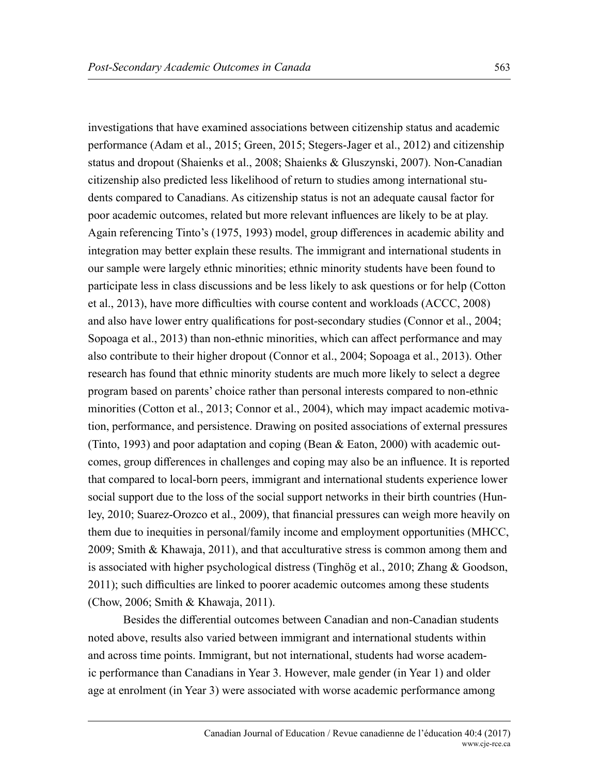investigations that have examined associations between citizenship status and academic performance (Adam et al., 2015; Green, 2015; Stegers-Jager et al., 2012) and citizenship status and dropout (Shaienks et al., 2008; Shaienks & Gluszynski, 2007). Non-Canadian citizenship also predicted less likelihood of return to studies among international students compared to Canadians. As citizenship status is not an adequate causal factor for poor academic outcomes, related but more relevant influences are likely to be at play. Again referencing Tinto's (1975, 1993) model, group differences in academic ability and integration may better explain these results. The immigrant and international students in our sample were largely ethnic minorities; ethnic minority students have been found to participate less in class discussions and be less likely to ask questions or for help (Cotton et al., 2013), have more difficulties with course content and workloads (ACCC, 2008) and also have lower entry qualifications for post-secondary studies (Connor et al., 2004; Sopoaga et al., 2013) than non-ethnic minorities, which can affect performance and may also contribute to their higher dropout (Connor et al., 2004; Sopoaga et al., 2013). Other research has found that ethnic minority students are much more likely to select a degree program based on parents' choice rather than personal interests compared to non-ethnic minorities (Cotton et al., 2013; Connor et al., 2004), which may impact academic motivation, performance, and persistence. Drawing on posited associations of external pressures (Tinto, 1993) and poor adaptation and coping (Bean & Eaton, 2000) with academic outcomes, group differences in challenges and coping may also be an influence. It is reported that compared to local-born peers, immigrant and international students experience lower social support due to the loss of the social support networks in their birth countries (Hunley, 2010; Suarez-Orozco et al., 2009), that financial pressures can weigh more heavily on them due to inequities in personal/family income and employment opportunities (MHCC, 2009; Smith & Khawaja, 2011), and that acculturative stress is common among them and is associated with higher psychological distress (Tinghög et al., 2010; Zhang & Goodson, 2011); such difficulties are linked to poorer academic outcomes among these students (Chow, 2006; Smith & Khawaja, 2011).

Besides the differential outcomes between Canadian and non-Canadian students noted above, results also varied between immigrant and international students within and across time points. Immigrant, but not international, students had worse academic performance than Canadians in Year 3. However, male gender (in Year 1) and older age at enrolment (in Year 3) were associated with worse academic performance among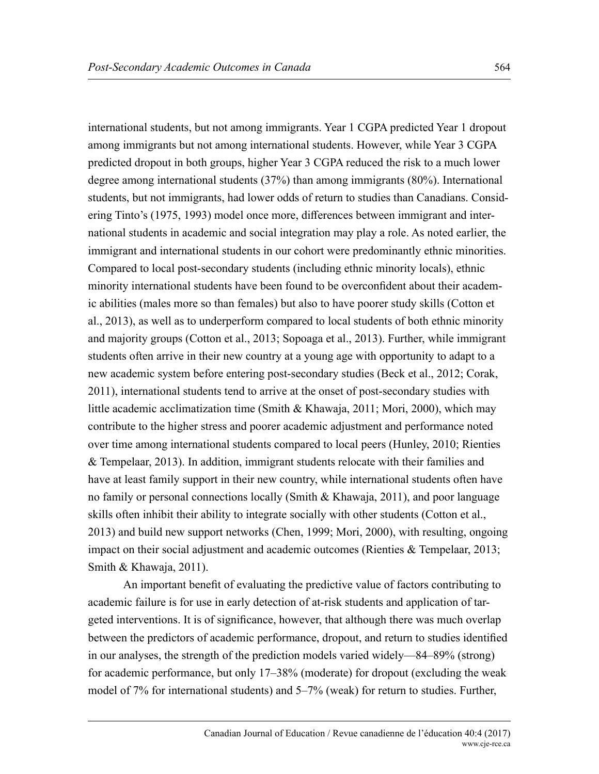international students, but not among immigrants. Year 1 CGPA predicted Year 1 dropout among immigrants but not among international students. However, while Year 3 CGPA predicted dropout in both groups, higher Year 3 CGPA reduced the risk to a much lower degree among international students (37%) than among immigrants (80%). International students, but not immigrants, had lower odds of return to studies than Canadians. Considering Tinto's (1975, 1993) model once more, differences between immigrant and international students in academic and social integration may play a role. As noted earlier, the immigrant and international students in our cohort were predominantly ethnic minorities. Compared to local post-secondary students (including ethnic minority locals), ethnic minority international students have been found to be overconfident about their academic abilities (males more so than females) but also to have poorer study skills (Cotton et al., 2013), as well as to underperform compared to local students of both ethnic minority and majority groups (Cotton et al., 2013; Sopoaga et al., 2013). Further, while immigrant students often arrive in their new country at a young age with opportunity to adapt to a new academic system before entering post-secondary studies (Beck et al., 2012; Corak, 2011), international students tend to arrive at the onset of post-secondary studies with little academic acclimatization time (Smith & Khawaja, 2011; Mori, 2000), which may contribute to the higher stress and poorer academic adjustment and performance noted over time among international students compared to local peers (Hunley, 2010; Rienties & Tempelaar, 2013). In addition, immigrant students relocate with their families and have at least family support in their new country, while international students often have no family or personal connections locally (Smith & Khawaja, 2011), and poor language skills often inhibit their ability to integrate socially with other students (Cotton et al., 2013) and build new support networks (Chen, 1999; Mori, 2000), with resulting, ongoing impact on their social adjustment and academic outcomes (Rienties & Tempelaar, 2013; Smith & Khawaja, 2011).

An important benefit of evaluating the predictive value of factors contributing to academic failure is for use in early detection of at-risk students and application of targeted interventions. It is of significance, however, that although there was much overlap between the predictors of academic performance, dropout, and return to studies identified in our analyses, the strength of the prediction models varied widely—84–89% (strong) for academic performance, but only 17–38% (moderate) for dropout (excluding the weak model of 7% for international students) and 5–7% (weak) for return to studies. Further,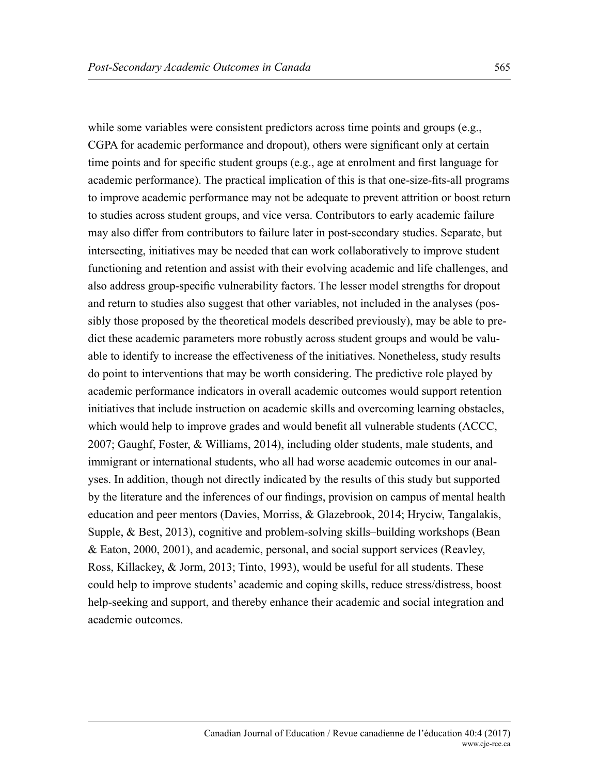while some variables were consistent predictors across time points and groups (e.g., CGPA for academic performance and dropout), others were significant only at certain time points and for specific student groups (e.g., age at enrolment and first language for academic performance). The practical implication of this is that one-size-fits-all programs to improve academic performance may not be adequate to prevent attrition or boost return to studies across student groups, and vice versa. Contributors to early academic failure may also differ from contributors to failure later in post-secondary studies. Separate, but intersecting, initiatives may be needed that can work collaboratively to improve student functioning and retention and assist with their evolving academic and life challenges, and also address group-specific vulnerability factors. The lesser model strengths for dropout and return to studies also suggest that other variables, not included in the analyses (possibly those proposed by the theoretical models described previously), may be able to predict these academic parameters more robustly across student groups and would be valuable to identify to increase the effectiveness of the initiatives. Nonetheless, study results do point to interventions that may be worth considering. The predictive role played by academic performance indicators in overall academic outcomes would support retention initiatives that include instruction on academic skills and overcoming learning obstacles, which would help to improve grades and would benefit all vulnerable students (ACCC, 2007; Gaughf, Foster, & Williams, 2014), including older students, male students, and immigrant or international students, who all had worse academic outcomes in our analyses. In addition, though not directly indicated by the results of this study but supported by the literature and the inferences of our findings, provision on campus of mental health education and peer mentors (Davies, Morriss, & Glazebrook, 2014; Hryciw, Tangalakis, Supple, & Best, 2013), cognitive and problem-solving skills–building workshops (Bean & Eaton, 2000, 2001), and academic, personal, and social support services (Reavley, Ross, Killackey, & Jorm, 2013; Tinto, 1993), would be useful for all students. These could help to improve students' academic and coping skills, reduce stress/distress, boost help-seeking and support, and thereby enhance their academic and social integration and academic outcomes.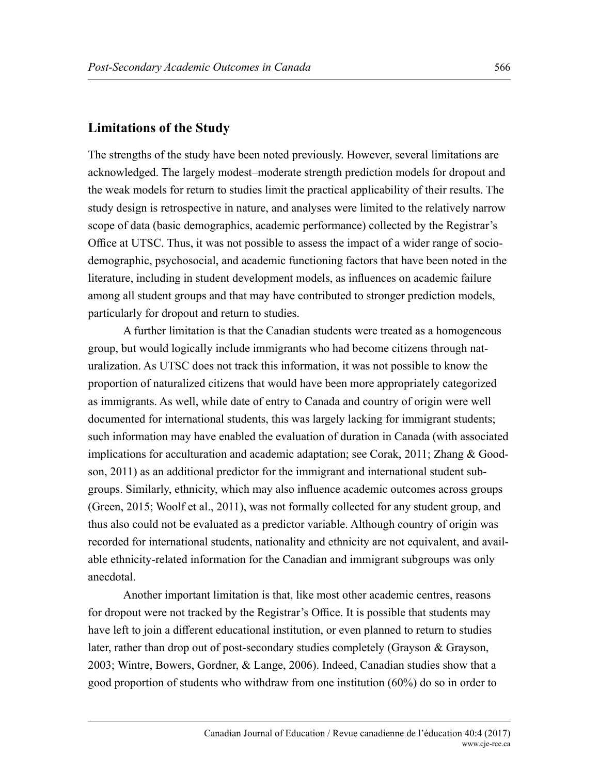#### **Limitations of the Study**

The strengths of the study have been noted previously. However, several limitations are acknowledged. The largely modest–moderate strength prediction models for dropout and the weak models for return to studies limit the practical applicability of their results. The study design is retrospective in nature, and analyses were limited to the relatively narrow scope of data (basic demographics, academic performance) collected by the Registrar's Office at UTSC. Thus, it was not possible to assess the impact of a wider range of sociodemographic, psychosocial, and academic functioning factors that have been noted in the literature, including in student development models, as influences on academic failure among all student groups and that may have contributed to stronger prediction models, particularly for dropout and return to studies.

A further limitation is that the Canadian students were treated as a homogeneous group, but would logically include immigrants who had become citizens through naturalization. As UTSC does not track this information, it was not possible to know the proportion of naturalized citizens that would have been more appropriately categorized as immigrants. As well, while date of entry to Canada and country of origin were well documented for international students, this was largely lacking for immigrant students; such information may have enabled the evaluation of duration in Canada (with associated implications for acculturation and academic adaptation; see Corak, 2011; Zhang & Goodson, 2011) as an additional predictor for the immigrant and international student subgroups. Similarly, ethnicity, which may also influence academic outcomes across groups (Green, 2015; Woolf et al., 2011), was not formally collected for any student group, and thus also could not be evaluated as a predictor variable. Although country of origin was recorded for international students, nationality and ethnicity are not equivalent, and available ethnicity-related information for the Canadian and immigrant subgroups was only anecdotal.

Another important limitation is that, like most other academic centres, reasons for dropout were not tracked by the Registrar's Office. It is possible that students may have left to join a different educational institution, or even planned to return to studies later, rather than drop out of post-secondary studies completely (Grayson & Grayson, 2003; Wintre, Bowers, Gordner, & Lange, 2006). Indeed, Canadian studies show that a good proportion of students who withdraw from one institution (60%) do so in order to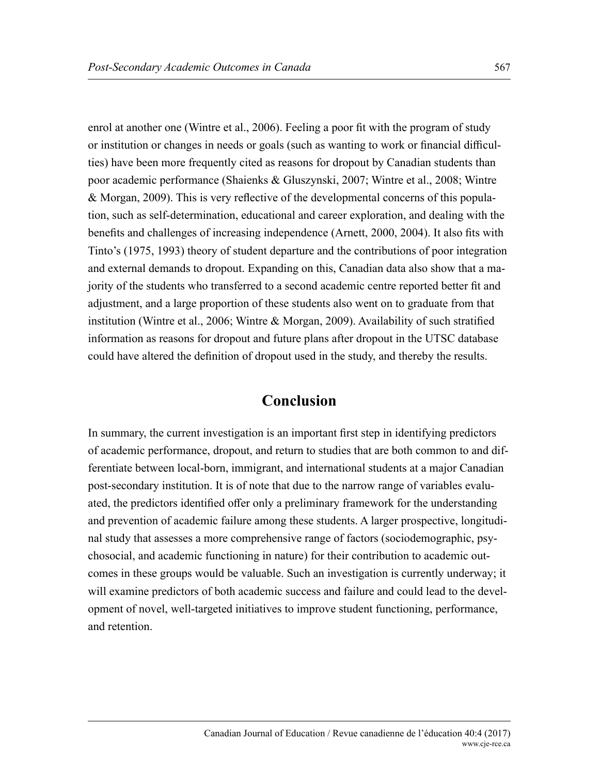enrol at another one (Wintre et al., 2006). Feeling a poor fit with the program of study or institution or changes in needs or goals (such as wanting to work or financial difficulties) have been more frequently cited as reasons for dropout by Canadian students than poor academic performance (Shaienks & Gluszynski, 2007; Wintre et al., 2008; Wintre & Morgan, 2009). This is very reflective of the developmental concerns of this population, such as self-determination, educational and career exploration, and dealing with the benefits and challenges of increasing independence (Arnett, 2000, 2004). It also fits with Tinto's (1975, 1993) theory of student departure and the contributions of poor integration and external demands to dropout. Expanding on this, Canadian data also show that a majority of the students who transferred to a second academic centre reported better fit and adjustment, and a large proportion of these students also went on to graduate from that institution (Wintre et al., 2006; Wintre & Morgan, 2009). Availability of such stratified information as reasons for dropout and future plans after dropout in the UTSC database could have altered the definition of dropout used in the study, and thereby the results.

## **Conclusion**

In summary, the current investigation is an important first step in identifying predictors of academic performance, dropout, and return to studies that are both common to and differentiate between local-born, immigrant, and international students at a major Canadian post-secondary institution. It is of note that due to the narrow range of variables evaluated, the predictors identified offer only a preliminary framework for the understanding and prevention of academic failure among these students. A larger prospective, longitudinal study that assesses a more comprehensive range of factors (sociodemographic, psychosocial, and academic functioning in nature) for their contribution to academic outcomes in these groups would be valuable. Such an investigation is currently underway; it will examine predictors of both academic success and failure and could lead to the development of novel, well-targeted initiatives to improve student functioning, performance, and retention.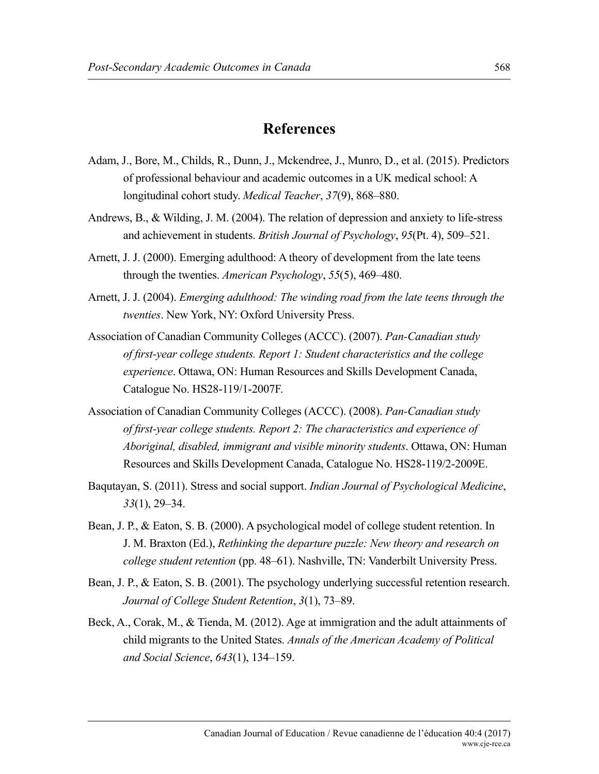#### **References**

- Adam, J., Bore, M., Childs, R., Dunn, J., Mckendree, J., Munro, D., et al. (2015). Predictors of professional behaviour and academic outcomes in a UK medical school: A longitudinal cohort study. *Medical Teacher*, *37*(9), 868–880.
- Andrews, B., & Wilding, J. M. (2004). The relation of depression and anxiety to life-stress and achievement in students. *British Journal of Psychology*, *95*(Pt. 4), 509–521.
- Arnett, J. J. (2000). Emerging adulthood: A theory of development from the late teens through the twenties. *American Psychology*, *55*(5), 469–480.
- Arnett, J. J. (2004). *Emerging adulthood: The winding road from the late teens through the twenties*. New York, NY: Oxford University Press.
- Association of Canadian Community Colleges (ACCC). (2007). *Pan-Canadian study of first-year college students. Report 1: Student characteristics and the college experience*. Ottawa, ON: Human Resources and Skills Development Canada, Catalogue No. HS28-119/1-2007F.
- Association of Canadian Community Colleges (ACCC). (2008). *Pan-Canadian study of first-year college students. Report 2: The characteristics and experience of Aboriginal, disabled, immigrant and visible minority students*. Ottawa, ON: Human Resources and Skills Development Canada, Catalogue No. HS28-119/2-2009E.
- Baqutayan, S. (2011). Stress and social support. *Indian Journal of Psychological Medicine*, *33*(1), 29–34.
- Bean, J. P., & Eaton, S. B. (2000). A psychological model of college student retention. In J. M. Braxton (Ed.), *Rethinking the departure puzzle: New theory and research on college student retention* (pp. 48–61). Nashville, TN: Vanderbilt University Press.
- Bean, J. P., & Eaton, S. B. (2001). The psychology underlying successful retention research. *Journal of College Student Retention*, *3*(1), 73–89.
- Beck, A., Corak, M., & Tienda, M. (2012). Age at immigration and the adult attainments of child migrants to the United States. *Annals of the American Academy of Political and Social Science*, *643*(1), 134–159.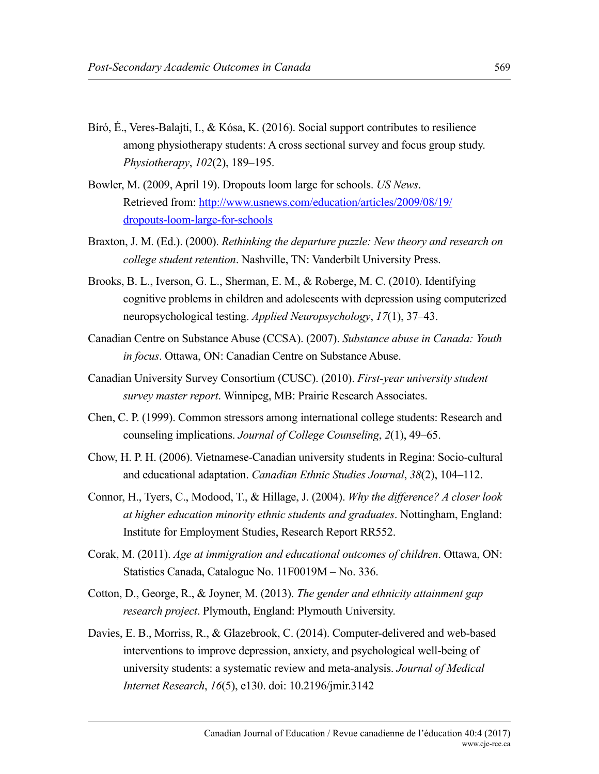- Bíró, É., Veres-Balajti, I., & Kósa, K. (2016). Social support contributes to resilience among physiotherapy students: A cross sectional survey and focus group study. *Physiotherapy*, *102*(2), 189–195.
- Bowler, M. (2009, April 19). Dropouts loom large for schools. *US News*. Retrieved from: [http://www.usnews.com/education/articles/2009/08/19/](http://www.usnews.com/education/articles/2009/08/19/dropouts-loom-large-for-schools) [dropouts-loom-large-for-schools](http://www.usnews.com/education/articles/2009/08/19/dropouts-loom-large-for-schools)
- Braxton, J. M. (Ed.). (2000). *Rethinking the departure puzzle: New theory and research on college student retention*. Nashville, TN: Vanderbilt University Press.
- Brooks, B. L., Iverson, G. L., Sherman, E. M., & Roberge, M. C. (2010). Identifying cognitive problems in children and adolescents with depression using computerized neuropsychological testing. *Applied Neuropsychology*, *17*(1), 37–43.
- Canadian Centre on Substance Abuse (CCSA). (2007). *Substance abuse in Canada: Youth in focus*. Ottawa, ON: Canadian Centre on Substance Abuse.
- Canadian University Survey Consortium (CUSC). (2010). *First-year university student survey master report*. Winnipeg, MB: Prairie Research Associates.
- Chen, C. P. (1999). Common stressors among international college students: Research and counseling implications. *Journal of College Counseling*, *2*(1), 49–65.
- Chow, H. P. H. (2006). Vietnamese-Canadian university students in Regina: Socio-cultural and educational adaptation. *Canadian Ethnic Studies Journal*, *38*(2), 104–112.
- Connor, H., Tyers, C., Modood, T., & Hillage, J. (2004). *Why the difference? A closer look at higher education minority ethnic students and graduates*. Nottingham, England: Institute for Employment Studies, Research Report RR552.
- Corak, M. (2011). *Age at immigration and educational outcomes of children*. Ottawa, ON: Statistics Canada, Catalogue No. 11F0019M – No. 336.
- Cotton, D., George, R., & Joyner, M. (2013). *The gender and ethnicity attainment gap research project*. Plymouth, England: Plymouth University.
- Davies, E. B., Morriss, R., & Glazebrook, C. (2014). Computer-delivered and web-based interventions to improve depression, anxiety, and psychological well-being of university students: a systematic review and meta-analysis. *Journal of Medical Internet Research*, *16*(5), e130. doi: 10.2196/jmir.3142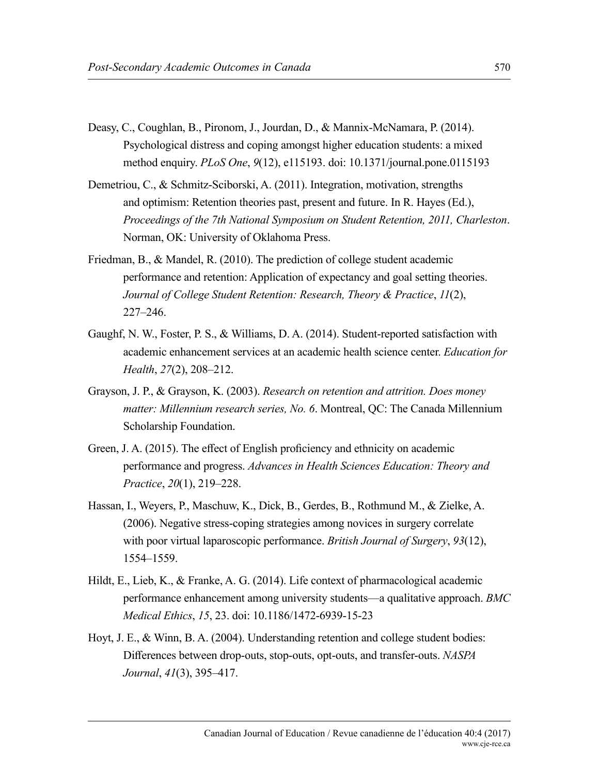- Deasy, C., Coughlan, B., Pironom, J., Jourdan, D., & Mannix-McNamara, P. (2014). Psychological distress and coping amongst higher education students: a mixed method enquiry. *PLoS One*, *9*(12), e115193. doi: 10.1371/journal.pone.0115193
- Demetriou, C., & Schmitz-Sciborski, A. (2011). Integration, motivation, strengths and optimism: Retention theories past, present and future. In R. Hayes (Ed.), *Proceedings of the 7th National Symposium on Student Retention, 2011, Charleston*. Norman, OK: University of Oklahoma Press.
- Friedman, B., & Mandel, R. (2010). The prediction of college student academic performance and retention: Application of expectancy and goal setting theories. *Journal of College Student Retention: Research, Theory & Practice*, *11*(2), 227–246.
- Gaughf, N. W., Foster, P. S., & Williams, D. A. (2014). Student-reported satisfaction with academic enhancement services at an academic health science center. *Education for Health*, *27*(2), 208–212.
- Grayson, J. P., & Grayson, K. (2003). *Research on retention and attrition. Does money matter: Millennium research series, No. 6*. Montreal, QC: The Canada Millennium Scholarship Foundation.
- Green, J. A. (2015). The effect of English proficiency and ethnicity on academic performance and progress. *Advances in Health Sciences Education: Theory and Practice*, *20*(1), 219–228.
- Hassan, I., Weyers, P., Maschuw, K., Dick, B., Gerdes, B., Rothmund M., & Zielke, A. (2006). Negative stress-coping strategies among novices in surgery correlate with poor virtual laparoscopic performance. *British Journal of Surgery*, *93*(12), 1554–1559.
- Hildt, E., Lieb, K., & Franke, A. G. (2014). Life context of pharmacological academic performance enhancement among university students—a qualitative approach. *BMC Medical Ethics*, *15*, 23. doi: 10.1186/1472-6939-15-23
- Hoyt, J. E., & Winn, B. A. (2004). Understanding retention and college student bodies: Differences between drop-outs, stop-outs, opt-outs, and transfer-outs. *NASPA Journal*, *41*(3), 395–417.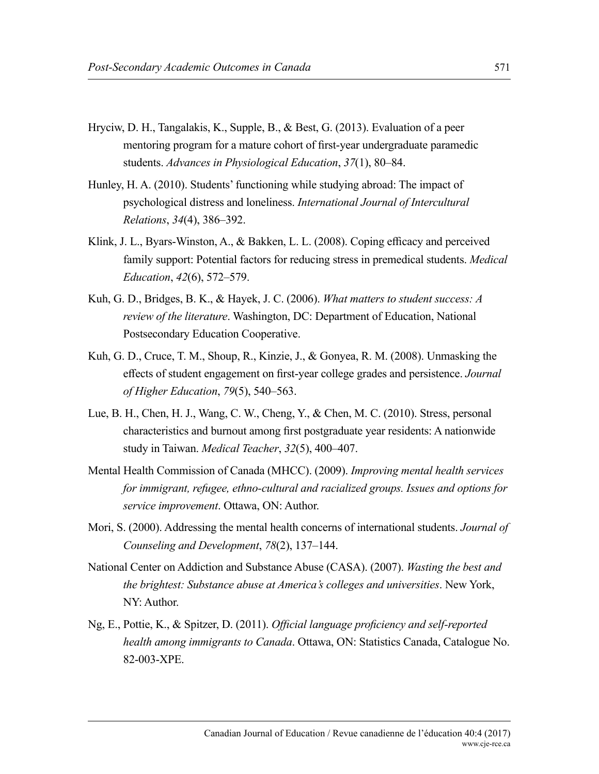- Hryciw, D. H., Tangalakis, K., Supple, B., & Best, G. (2013). Evaluation of a peer mentoring program for a mature cohort of first-year undergraduate paramedic students. *Advances in Physiological Education*, *37*(1), 80–84.
- Hunley, H. A. (2010). Students' functioning while studying abroad: The impact of psychological distress and loneliness. *International Journal of Intercultural Relations*, *34*(4), 386–392.
- Klink, J. L., Byars-Winston, A., & Bakken, L. L. (2008). Coping efficacy and perceived family support: Potential factors for reducing stress in premedical students. *Medical Education*, *42*(6), 572–579.
- Kuh, G. D., Bridges, B. K., & Hayek, J. C. (2006). *What matters to student success: A review of the literature*. Washington, DC: Department of Education, National Postsecondary Education Cooperative.
- Kuh, G. D., Cruce, T. M., Shoup, R., Kinzie, J., & Gonyea, R. M. (2008). Unmasking the effects of student engagement on first-year college grades and persistence. *Journal of Higher Education*, *79*(5), 540–563.
- Lue, B. H., Chen, H. J., Wang, C. W., Cheng, Y., & Chen, M. C. (2010). Stress, personal characteristics and burnout among first postgraduate year residents: A nationwide study in Taiwan. *Medical Teacher*, *32*(5), 400–407.
- Mental Health Commission of Canada (MHCC). (2009). *Improving mental health services for immigrant, refugee, ethno-cultural and racialized groups. Issues and options for service improvement*. Ottawa, ON: Author.
- Mori, S. (2000). Addressing the mental health concerns of international students. *Journal of Counseling and Development*, *78*(2), 137–144.
- National Center on Addiction and Substance Abuse (CASA). (2007). *Wasting the best and the brightest: Substance abuse at America's colleges and universities*. New York, NY: Author.
- Ng, E., Pottie, K., & Spitzer, D. (2011). *Official language proficiency and self-reported health among immigrants to Canada*. Ottawa, ON: Statistics Canada, Catalogue No. 82-003-XPE.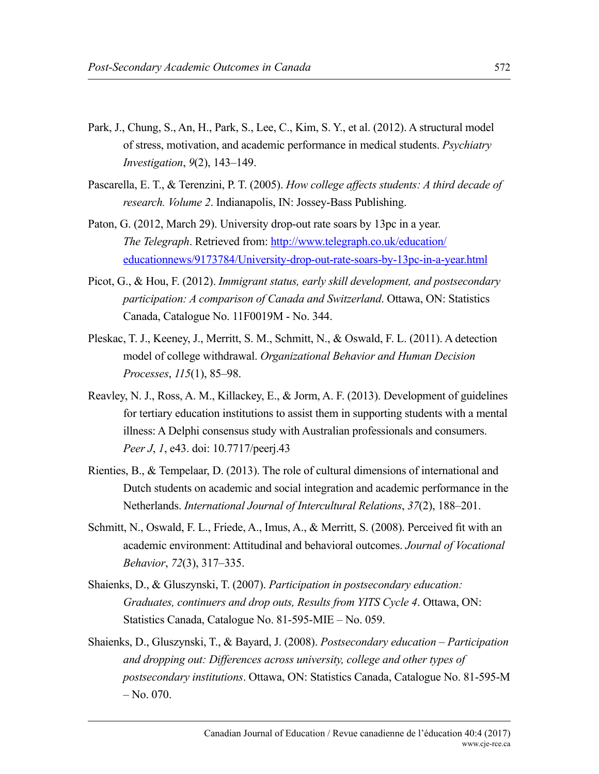- Park, J., Chung, S., An, H., Park, S., Lee, C., Kim, S. Y., et al. (2012). A structural model of stress, motivation, and academic performance in medical students. *Psychiatry Investigation*, *9*(2), 143–149.
- Pascarella, E. T., & Terenzini, P. T. (2005). *How college affects students: A third decade of research. Volume 2*. Indianapolis, IN: Jossey-Bass Publishing.
- Paton, G. (2012, March 29). University drop-out rate soars by 13pc in a year. *The Telegraph*. Retrieved from: [http://www.telegraph.co.uk/education/](http://www.telegraph.co.uk/education/educationnews/9173784/University-drop-out-rate-soars-by-13pc-in-a-year.html) [educationnews/9173784/University-drop-out-rate-soars-by-13pc-in-a-year.html](http://www.telegraph.co.uk/education/educationnews/9173784/University-drop-out-rate-soars-by-13pc-in-a-year.html)
- Picot, G., & Hou, F. (2012). *Immigrant status, early skill development, and postsecondary participation: A comparison of Canada and Switzerland*. Ottawa, ON: Statistics Canada, Catalogue No. 11F0019M - No. 344.
- Pleskac, T. J., Keeney, J., Merritt, S. M., Schmitt, N., & Oswald, F. L. (2011). A detection model of college withdrawal. *Organizational Behavior and Human Decision Processes*, *115*(1), 85–98.
- Reavley, N. J., Ross, A. M., Killackey, E., & Jorm, A. F. (2013). Development of guidelines for tertiary education institutions to assist them in supporting students with a mental illness: A Delphi consensus study with Australian professionals and consumers. *Peer J*, *1*, e43. doi: 10.7717/peerj.43
- Rienties, B., & Tempelaar, D. (2013). The role of cultural dimensions of international and Dutch students on academic and social integration and academic performance in the Netherlands. *International Journal of Intercultural Relations*, *37*(2), 188–201.
- Schmitt, N., Oswald, F. L., Friede, A., Imus, A., & Merritt, S. (2008). Perceived fit with an academic environment: Attitudinal and behavioral outcomes. *Journal of Vocational Behavior*, *72*(3), 317–335.
- Shaienks, D., & Gluszynski, T. (2007). *Participation in postsecondary education: Graduates, continuers and drop outs, Results from YITS Cycle 4*. Ottawa, ON: Statistics Canada, Catalogue No. 81-595-MIE – No. 059.
- Shaienks, D., Gluszynski, T., & Bayard, J. (2008). *Postsecondary education Participation and dropping out: Differences across university, college and other types of postsecondary institutions*. Ottawa, ON: Statistics Canada, Catalogue No. 81-595-M  $-$  No. 070.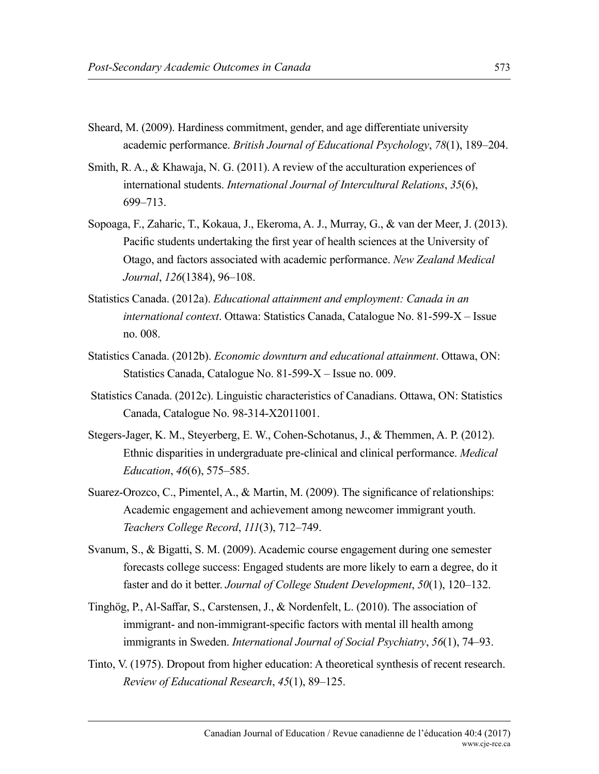- Sheard, M. (2009). Hardiness commitment, gender, and age differentiate university academic performance. *British Journal of Educational Psychology*, *78*(1), 189–204.
- Smith, R. A., & Khawaja, N. G. (2011). A review of the acculturation experiences of international students. *International Journal of Intercultural Relations*, *35*(6), 699–713.
- Sopoaga, F., Zaharic, T., Kokaua, J., Ekeroma, A. J., Murray, G., & van der Meer, J. (2013). Pacific students undertaking the first year of health sciences at the University of Otago, and factors associated with academic performance. *New Zealand Medical Journal*, *126*(1384), 96–108.
- Statistics Canada. (2012a). *Educational attainment and employment: Canada in an international context*. Ottawa: Statistics Canada, Catalogue No. 81-599-X – Issue no. 008.
- Statistics Canada. (2012b). *Economic downturn and educational attainment*. Ottawa, ON: Statistics Canada, Catalogue No. 81-599-X – Issue no. 009.
- Statistics Canada. (2012c). Linguistic characteristics of Canadians. Ottawa, ON: Statistics Canada, Catalogue No. 98-314-X2011001.
- Stegers-Jager, K. M., Steyerberg, E. W., Cohen-Schotanus, J., & Themmen, A. P. (2012). Ethnic disparities in undergraduate pre-clinical and clinical performance. *Medical Education*, *46*(6), 575–585.
- Suarez-Orozco, C., Pimentel, A., & Martin, M. (2009). The significance of relationships: Academic engagement and achievement among newcomer immigrant youth. *Teachers College Record*, *111*(3), 712–749.
- Svanum, S., & Bigatti, S. M. (2009). Academic course engagement during one semester forecasts college success: Engaged students are more likely to earn a degree, do it faster and do it better. *Journal of College Student Development*, *50*(1), 120–132.
- Tinghög, P., Al-Saffar, S., Carstensen, J., & Nordenfelt, L. (2010). The association of immigrant- and non-immigrant-specific factors with mental ill health among immigrants in Sweden. *International Journal of Social Psychiatry*, *56*(1), 74–93.
- Tinto, V. (1975). Dropout from higher education: A theoretical synthesis of recent research. *Review of Educational Research*, *45*(1), 89–125.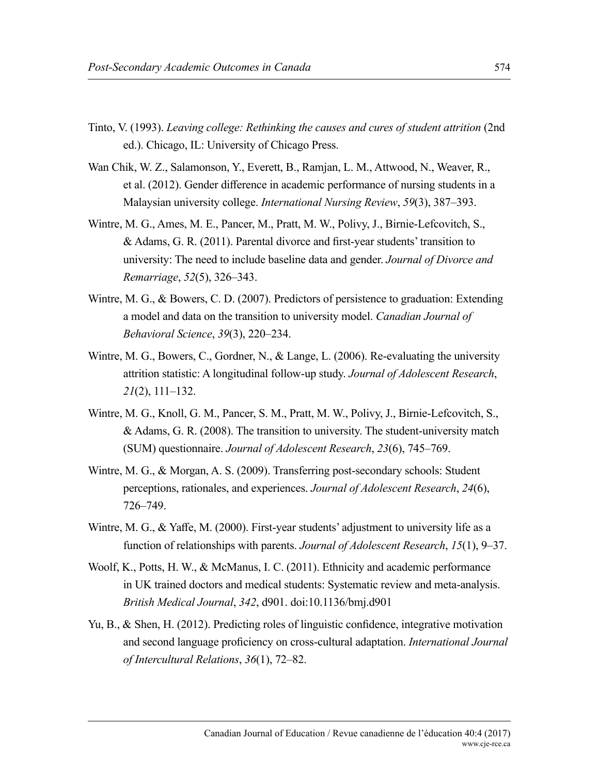- Tinto, V. (1993). *Leaving college: Rethinking the causes and cures of student attrition* (2nd ed.). Chicago, IL: University of Chicago Press.
- Wan Chik, W. Z., Salamonson, Y., Everett, B., Ramjan, L. M., Attwood, N., Weaver, R., et al. (2012). Gender difference in academic performance of nursing students in a Malaysian university college. *International Nursing Review*, *59*(3), 387–393.
- Wintre, M. G., Ames, M. E., Pancer, M., Pratt, M. W., Polivy, J., Birnie-Lefcovitch, S., & Adams, G. R. (2011). Parental divorce and first-year students' transition to university: The need to include baseline data and gender. *Journal of Divorce and Remarriage*, *52*(5), 326–343.
- Wintre, M. G., & Bowers, C. D. (2007). Predictors of persistence to graduation: Extending a model and data on the transition to university model. *Canadian Journal of Behavioral Science*, *39*(3), 220–234.
- Wintre, M. G., Bowers, C., Gordner, N., & Lange, L. (2006). Re-evaluating the university attrition statistic: A longitudinal follow-up study. *Journal of Adolescent Research*, *21*(2), 111–132.
- Wintre, M. G., Knoll, G. M., Pancer, S. M., Pratt, M. W., Polivy, J., Birnie-Lefcovitch, S., & Adams, G. R. (2008). The transition to university. The student-university match (SUM) questionnaire. *Journal of Adolescent Research*, *23*(6), 745–769.
- Wintre, M. G., & Morgan, A. S. (2009). Transferring post-secondary schools: Student perceptions, rationales, and experiences. *Journal of Adolescent Research*, *24*(6), 726–749.
- Wintre, M. G., & Yaffe, M. (2000). First-year students' adjustment to university life as a function of relationships with parents. *Journal of Adolescent Research*, *15*(1), 9–37.
- Woolf, K., Potts, H. W., & McManus, I. C. (2011). Ethnicity and academic performance in UK trained doctors and medical students: Systematic review and meta-analysis. *British Medical Journal*, *342*, d901. doi:10.1136/bmj.d901
- Yu, B., & Shen, H. (2012). Predicting roles of linguistic confidence, integrative motivation and second language proficiency on cross-cultural adaptation. *International Journal of Intercultural Relations*, *36*(1), 72–82.